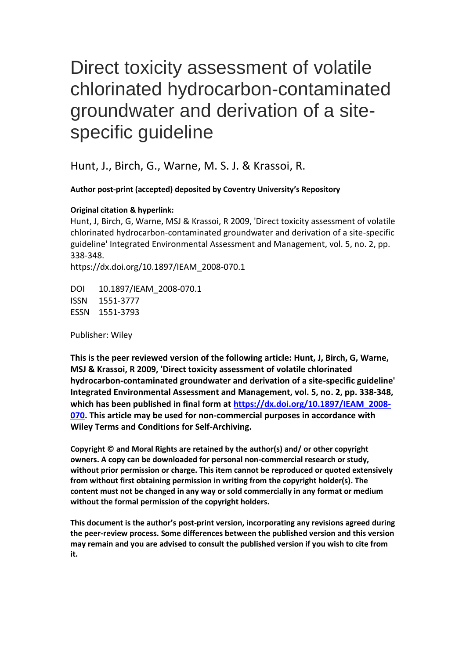# Direct toxicity assessment of volatile chlorinated hydrocarbon-contaminated groundwater and derivation of a sitespecific guideline

Hunt, J., Birch, G., Warne, M. S. J. & Krassoi, R.

**Author post-print (accepted) deposited by Coventry University's Repository**

#### **Original citation & hyperlink:**

Hunt, J, Birch, G, Warne, MSJ & Krassoi, R 2009, 'Direct toxicity assessment of volatile chlorinated hydrocarbon-contaminated groundwater and derivation of a site-specific guideline' Integrated Environmental Assessment and Management, vol. 5, no. 2, pp. 338-348.

https://dx.doi.org/10.1897/IEAM\_2008-070.1

DOI 10.1897/IEAM\_2008-070.1 ISSN 1551-3777 ESSN 1551-3793

Publisher: Wiley

**This is the peer reviewed version of the following article: Hunt, J, Birch, G, Warne, MSJ & Krassoi, R 2009, 'Direct toxicity assessment of volatile chlorinated hydrocarbon-contaminated groundwater and derivation of a site-specific guideline' Integrated Environmental Assessment and Management, vol. 5, no. 2, pp. 338-348, which has been published in final form at [https://dx.doi.org/10.1897/IEAM\\_2008-](https://dx.doi.org/10.1897/IEAM_2008-070) [070.](https://dx.doi.org/10.1897/IEAM_2008-070) This article may be used for non-commercial purposes in accordance with Wiley Terms and Conditions for Self-Archiving.**

**Copyright © and Moral Rights are retained by the author(s) and/ or other copyright owners. A copy can be downloaded for personal non-commercial research or study, without prior permission or charge. This item cannot be reproduced or quoted extensively from without first obtaining permission in writing from the copyright holder(s). The content must not be changed in any way or sold commercially in any format or medium without the formal permission of the copyright holders.** 

**This document is the author's post-print version, incorporating any revisions agreed during the peer-review process. Some differences between the published version and this version may remain and you are advised to consult the published version if you wish to cite from it.**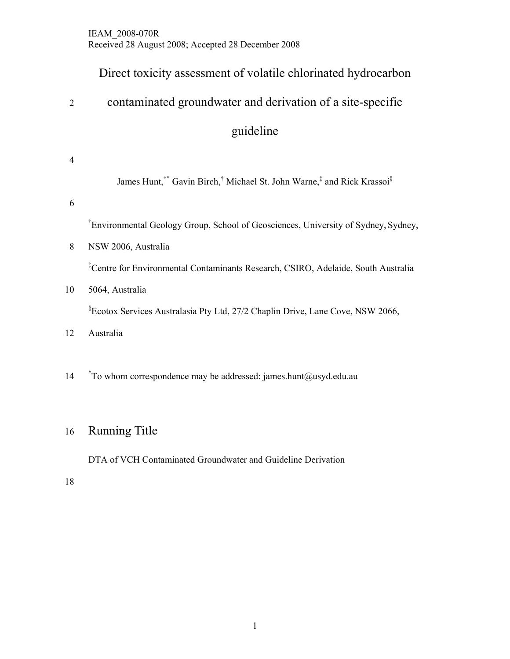### Direct toxicity assessment of volatile chlorinated hydrocarbon

## 2 contaminated groundwater and derivation of a site-specific

guideline

| 4  |                                                                                                                        |
|----|------------------------------------------------------------------------------------------------------------------------|
|    | James Hunt, <sup>†*</sup> Gavin Birch, <sup>†</sup> Michael St. John Warne, <sup>‡</sup> and Rick Krassoi <sup>§</sup> |
| 6  |                                                                                                                        |
|    | <sup>†</sup> Environmental Geology Group, School of Geosciences, University of Sydney, Sydney,                         |
| 8  | NSW 2006, Australia                                                                                                    |
|    | <sup>‡</sup> Centre for Environmental Contaminants Research, CSIRO, Adelaide, South Australia                          |
| 10 | 5064, Australia                                                                                                        |
|    | <sup>§</sup> Ecotox Services Australasia Pty Ltd, 27/2 Chaplin Drive, Lane Cove, NSW 2066,                             |
| 12 | Australia                                                                                                              |
|    |                                                                                                                        |
| 14 | $*$ To whom correspondence may be addressed: james.hunt@usyd.edu.au                                                    |

### 16 Running Title

DTA of VCH Contaminated Groundwater and Guideline Derivation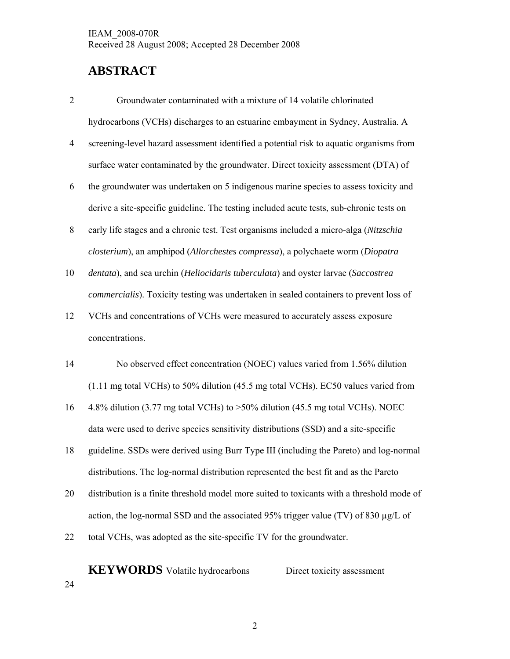### **ABSTRACT**

- 2 Groundwater contaminated with a mixture of 14 volatile chlorinated hydrocarbons (VCHs) discharges to an estuarine embayment in Sydney, Australia. A
- 4 screening-level hazard assessment identified a potential risk to aquatic organisms from surface water contaminated by the groundwater. Direct toxicity assessment (DTA) of
- 6 the groundwater was undertaken on 5 indigenous marine species to assess toxicity and derive a site-specific guideline. The testing included acute tests, sub-chronic tests on
- 8 early life stages and a chronic test. Test organisms included a micro-alga (*Nitzschia closterium*), an amphipod (*Allorchestes compressa*), a polychaete worm (*Diopatra*
- 10 *dentata*), and sea urchin (*Heliocidaris tuberculata*) and oyster larvae (*Saccostrea commercialis*). Toxicity testing was undertaken in sealed containers to prevent loss of
- 12 VCHs and concentrations of VCHs were measured to accurately assess exposure concentrations.
- 14 No observed effect concentration (NOEC) values varied from 1.56% dilution (1.11 mg total VCHs) to 50% dilution (45.5 mg total VCHs). EC50 values varied from
- 16 4.8% dilution (3.77 mg total VCHs) to >50% dilution (45.5 mg total VCHs). NOEC data were used to derive species sensitivity distributions (SSD) and a site-specific
- 18 guideline. SSDs were derived using Burr Type III (including the Pareto) and log-normal distributions. The log-normal distribution represented the best fit and as the Pareto
- 20 distribution is a finite threshold model more suited to toxicants with a threshold mode of action, the log-normal SSD and the associated 95% trigger value (TV) of 830  $\mu$ g/L of
- 22 total VCHs, was adopted as the site-specific TV for the groundwater.

**KEYWORDS** Volatile hydrocarbons Direct toxicity assessment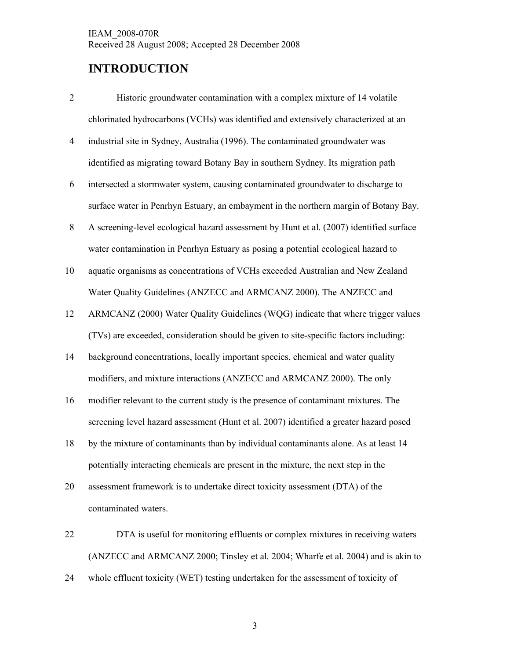### **INTRODUCTION**

- 2 Historic groundwater contamination with a complex mixture of 14 volatile chlorinated hydrocarbons (VCHs) was identified and extensively characterized at an
- 4 industrial site in Sydney, Australia (1996). The contaminated groundwater was identified as migrating toward Botany Bay in southern Sydney. Its migration path
- 6 intersected a stormwater system, causing contaminated groundwater to discharge to surface water in Penrhyn Estuary, an embayment in the northern margin of Botany Bay.
- 8 A screening-level ecological hazard assessment by Hunt et al*.* (2007) identified surface water contamination in Penrhyn Estuary as posing a potential ecological hazard to
- 10 aquatic organisms as concentrations of VCHs exceeded Australian and New Zealand Water Quality Guidelines (ANZECC and ARMCANZ 2000). The ANZECC and
- 12 ARMCANZ (2000) Water Quality Guidelines (WQG) indicate that where trigger values (TVs) are exceeded, consideration should be given to site-specific factors including:
- 14 background concentrations, locally important species, chemical and water quality modifiers, and mixture interactions (ANZECC and ARMCANZ 2000). The only
- 16 modifier relevant to the current study is the presence of contaminant mixtures. The screening level hazard assessment (Hunt et al. 2007) identified a greater hazard posed
- 18 by the mixture of contaminants than by individual contaminants alone. As at least 14 potentially interacting chemicals are present in the mixture, the next step in the
- 20 assessment framework is to undertake direct toxicity assessment (DTA) of the contaminated waters.
- 22 DTA is useful for monitoring effluents or complex mixtures in receiving waters (ANZECC and ARMCANZ 2000; Tinsley et al*.* 2004; Wharfe et al*.* 2004) and is akin to
- 24 whole effluent toxicity (WET) testing undertaken for the assessment of toxicity of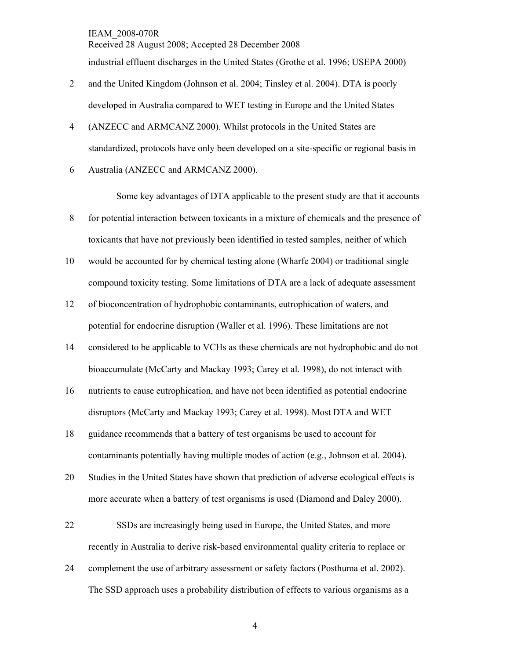Received 28 August 2008; Accepted 28 December 2008 industrial effluent discharges in the United States (Grothe et al. 1996; USEPA 2000)

- 2 and the United Kingdom (Johnson et al. 2004; Tinsley et al. 2004). DTA is poorly developed in Australia compared to WET testing in Europe and the United States
- 4 (ANZECC and ARMCANZ 2000). Whilst protocols in the United States are standardized, protocols have only been developed on a site-specific or regional basis in
- 6 Australia (ANZECC and ARMCANZ 2000).

Some key advantages of DTA applicable to the present study are that it accounts

- 8 for potential interaction between toxicants in a mixture of chemicals and the presence of toxicants that have not previously been identified in tested samples, neither of which
- 10 would be accounted for by chemical testing alone (Wharfe 2004) or traditional single compound toxicity testing. Some limitations of DTA are a lack of adequate assessment
- 12 of bioconcentration of hydrophobic contaminants, eutrophication of waters, and potential for endocrine disruption (Waller et al. 1996). These limitations are not
- 14 considered to be applicable to VCHs as these chemicals are not hydrophobic and do not bioaccumulate (McCarty and Mackay 1993; Carey et al*.* 1998), do not interact with
- 16 nutrients to cause eutrophication, and have not been identified as potential endocrine disruptors (McCarty and Mackay 1993; Carey et al*.* 1998). Most DTA and WET
- 18 guidance recommends that a battery of test organisms be used to account for contaminants potentially having multiple modes of action (e.g., Johnson et al*.* 2004).
- 20 Studies in the United States have shown that prediction of adverse ecological effects is more accurate when a battery of test organisms is used (Diamond and Daley 2000).
- 22 SSDs are increasingly being used in Europe, the United States, and more recently in Australia to derive risk-based environmental quality criteria to replace or
- 24 complement the use of arbitrary assessment or safety factors (Posthuma et al. 2002). The SSD approach uses a probability distribution of effects to various organisms as a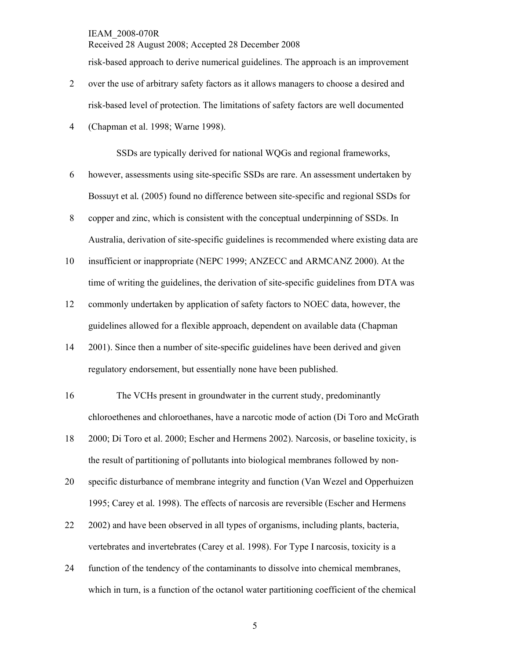Received 28 August 2008; Accepted 28 December 2008

risk-based approach to derive numerical guidelines. The approach is an improvement

- 2 over the use of arbitrary safety factors as it allows managers to choose a desired and risk-based level of protection. The limitations of safety factors are well documented
- 4 (Chapman et al. 1998; Warne 1998).

SSDs are typically derived for national WQGs and regional frameworks,

- 6 however, assessments using site-specific SSDs are rare. An assessment undertaken by Bossuyt et al*.* (2005) found no difference between site-specific and regional SSDs for
- 8 copper and zinc, which is consistent with the conceptual underpinning of SSDs. In Australia, derivation of site-specific guidelines is recommended where existing data are
- 10 insufficient or inappropriate (NEPC 1999; ANZECC and ARMCANZ 2000). At the time of writing the guidelines, the derivation of site-specific guidelines from DTA was
- 12 commonly undertaken by application of safety factors to NOEC data, however, the guidelines allowed for a flexible approach, dependent on available data (Chapman
- 14 2001). Since then a number of site-specific guidelines have been derived and given regulatory endorsement, but essentially none have been published.
- 16 The VCHs present in groundwater in the current study, predominantly chloroethenes and chloroethanes, have a narcotic mode of action (Di Toro and McGrath
- 18 2000; Di Toro et al. 2000; Escher and Hermens 2002). Narcosis, or baseline toxicity, is the result of partitioning of pollutants into biological membranes followed by non-
- 20 specific disturbance of membrane integrity and function (Van Wezel and Opperhuizen 1995; Carey et al*.* 1998). The effects of narcosis are reversible (Escher and Hermens
- 22 2002) and have been observed in all types of organisms, including plants, bacteria, vertebrates and invertebrates (Carey et al. 1998). For Type I narcosis, toxicity is a
- 24 function of the tendency of the contaminants to dissolve into chemical membranes, which in turn, is a function of the octanol water partitioning coefficient of the chemical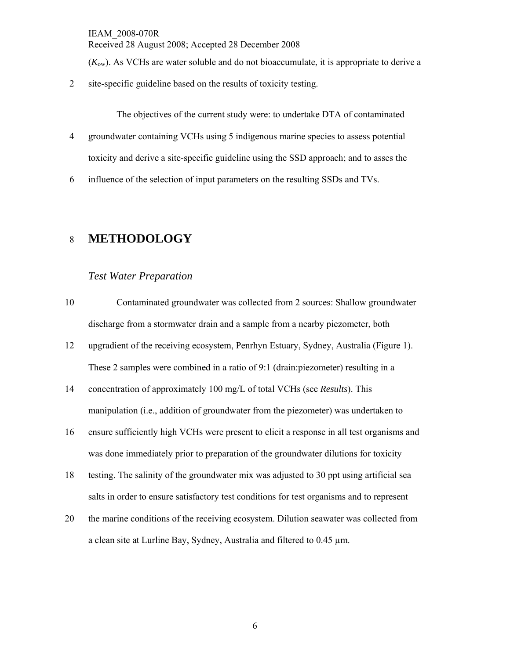(*K*ow). As VCHs are water soluble and do not bioaccumulate, it is appropriate to derive a

2 site-specific guideline based on the results of toxicity testing.

The objectives of the current study were: to undertake DTA of contaminated

- 4 groundwater containing VCHs using 5 indigenous marine species to assess potential toxicity and derive a site-specific guideline using the SSD approach; and to asses the
- 6 influence of the selection of input parameters on the resulting SSDs and TVs.

### 8 **METHODOLOGY**

#### *Test Water Preparation*

- 10 Contaminated groundwater was collected from 2 sources: Shallow groundwater discharge from a stormwater drain and a sample from a nearby piezometer, both
- 12 upgradient of the receiving ecosystem, Penrhyn Estuary, Sydney, Australia (Figure 1). These 2 samples were combined in a ratio of 9:1 (drain:piezometer) resulting in a
- 14 concentration of approximately 100 mg/L of total VCHs (see *Results*). This manipulation (i.e., addition of groundwater from the piezometer) was undertaken to
- 16 ensure sufficiently high VCHs were present to elicit a response in all test organisms and was done immediately prior to preparation of the groundwater dilutions for toxicity
- 18 testing. The salinity of the groundwater mix was adjusted to 30 ppt using artificial sea salts in order to ensure satisfactory test conditions for test organisms and to represent
- 20 the marine conditions of the receiving ecosystem. Dilution seawater was collected from a clean site at Lurline Bay, Sydney, Australia and filtered to 0.45 µm.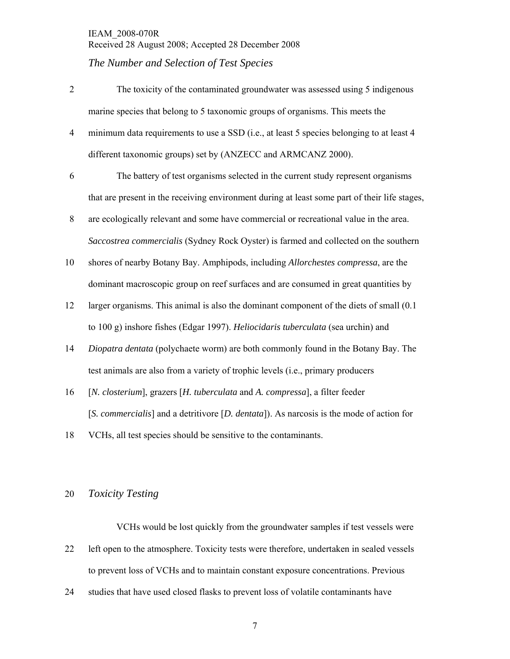#### *The Number and Selection of Test Species*

- 2 The toxicity of the contaminated groundwater was assessed using 5 indigenous marine species that belong to 5 taxonomic groups of organisms. This meets the
- 4 minimum data requirements to use a SSD (i.e., at least 5 species belonging to at least 4 different taxonomic groups) set by (ANZECC and ARMCANZ 2000).
- 6 The battery of test organisms selected in the current study represent organisms that are present in the receiving environment during at least some part of their life stages,
- 8 are ecologically relevant and some have commercial or recreational value in the area. *Saccostrea commercialis* (Sydney Rock Oyster) is farmed and collected on the southern
- 10 shores of nearby Botany Bay. Amphipods, including *Allorchestes compressa*, are the dominant macroscopic group on reef surfaces and are consumed in great quantities by
- 12 larger organisms. This animal is also the dominant component of the diets of small (0.1 to 100 g) inshore fishes (Edgar 1997). *Heliocidaris tuberculata* (sea urchin) and
- 14 *Diopatra dentata* (polychaete worm) are both commonly found in the Botany Bay. The test animals are also from a variety of trophic levels (i.e., primary producers
- 16 [*N. closterium*], grazers [*H. tuberculata* and *A. compressa*], a filter feeder [*S. commercialis*] and a detritivore [*D. dentata*]). As narcosis is the mode of action for
- 18 VCHs, all test species should be sensitive to the contaminants.

#### 20 *Toxicity Testing*

VCHs would be lost quickly from the groundwater samples if test vessels were 22 left open to the atmosphere. Toxicity tests were therefore, undertaken in sealed vessels to prevent loss of VCHs and to maintain constant exposure concentrations. Previous

24 studies that have used closed flasks to prevent loss of volatile contaminants have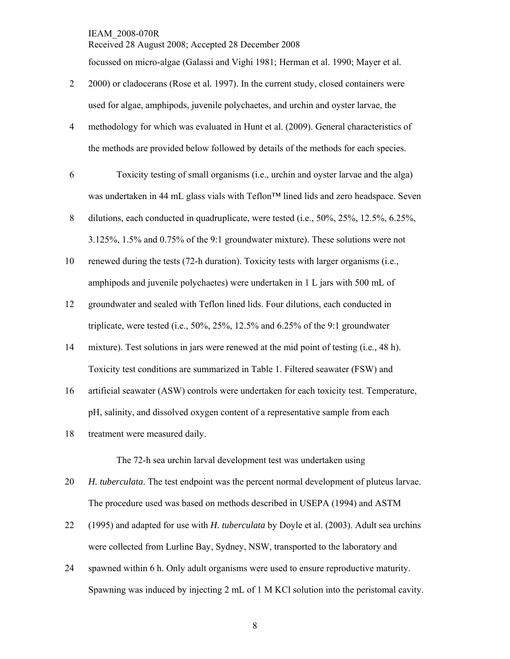focussed on micro-algae (Galassi and Vighi 1981; Herman et al. 1990; Mayer et al.

Received 28 August 2008; Accepted 28 December 2008

- 2 2000) or cladocerans (Rose et al. 1997). In the current study, closed containers were used for algae, amphipods, juvenile polychaetes, and urchin and oyster larvae, the
- 4 methodology for which was evaluated in Hunt et al. (2009). General characteristics of the methods are provided below followed by details of the methods for each species.
- 6 Toxicity testing of small organisms (i.e., urchin and oyster larvae and the alga) was undertaken in 44 mL glass vials with Teflon™ lined lids and zero headspace. Seven
- 8 dilutions, each conducted in quadruplicate, were tested (i.e., 50%, 25%, 12.5%, 6.25%, 3.125%, 1.5% and 0.75% of the 9:1 groundwater mixture). These solutions were not
- 10 renewed during the tests (72-h duration). Toxicity tests with larger organisms (i.e., amphipods and juvenile polychaetes) were undertaken in 1 L jars with 500 mL of
- 12 groundwater and sealed with Teflon lined lids. Four dilutions, each conducted in triplicate, were tested (i.e.,  $50\%$ ,  $25\%$ ,  $12.5\%$  and  $6.25\%$  of the 9:1 groundwater
- 14 mixture). Test solutions in jars were renewed at the mid point of testing (i.e., 48 h). Toxicity test conditions are summarized in Table 1. Filtered seawater (FSW) and
- 16 artificial seawater (ASW) controls were undertaken for each toxicity test. Temperature, pH, salinity, and dissolved oxygen content of a representative sample from each
- 18 treatment were measured daily.

The 72-h sea urchin larval development test was undertaken using

- 20 *H. tuberculata*. The test endpoint was the percent normal development of pluteus larvae. The procedure used was based on methods described in USEPA (1994) and ASTM
- 22 (1995) and adapted for use with *H. tuberculata* by Doyle et al. (2003). Adult sea urchins were collected from Lurline Bay, Sydney, NSW, transported to the laboratory and
- 24 spawned within 6 h. Only adult organisms were used to ensure reproductive maturity. Spawning was induced by injecting 2 mL of 1 M KCl solution into the peristomal cavity.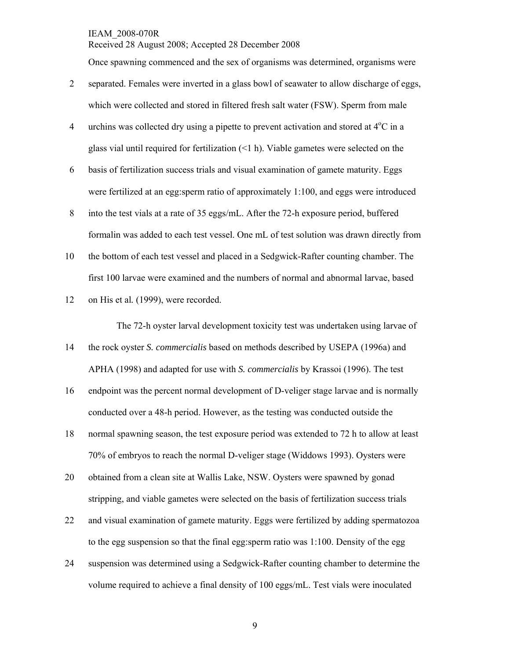Received 28 August 2008; Accepted 28 December 2008

Once spawning commenced and the sex of organisms was determined, organisms were

- 2 separated. Females were inverted in a glass bowl of seawater to allow discharge of eggs, which were collected and stored in filtered fresh salt water (FSW). Sperm from male
- 4 urchins was collected dry using a pipette to prevent activation and stored at  $4^{\circ}$ C in a glass vial until required for fertilization (<1 h). Viable gametes were selected on the
- 6 basis of fertilization success trials and visual examination of gamete maturity. Eggs were fertilized at an egg:sperm ratio of approximately 1:100, and eggs were introduced
- 8 into the test vials at a rate of 35 eggs/mL. After the 72-h exposure period, buffered formalin was added to each test vessel. One mL of test solution was drawn directly from
- 10 the bottom of each test vessel and placed in a Sedgwick-Rafter counting chamber. The first 100 larvae were examined and the numbers of normal and abnormal larvae, based
- 12 on His et al*.* (1999), were recorded.

The 72-h oyster larval development toxicity test was undertaken using larvae of

- 14 the rock oyster *S. commercialis* based on methods described by USEPA (1996a) and APHA (1998) and adapted for use with *S. commercialis* by Krassoi (1996). The test
- 16 endpoint was the percent normal development of D-veliger stage larvae and is normally conducted over a 48-h period. However, as the testing was conducted outside the
- 18 normal spawning season, the test exposure period was extended to 72 h to allow at least 70% of embryos to reach the normal D-veliger stage (Widdows 1993). Oysters were
- 20 obtained from a clean site at Wallis Lake, NSW. Oysters were spawned by gonad stripping, and viable gametes were selected on the basis of fertilization success trials
- 22 and visual examination of gamete maturity. Eggs were fertilized by adding spermatozoa to the egg suspension so that the final egg:sperm ratio was 1:100. Density of the egg
- 24 suspension was determined using a Sedgwick-Rafter counting chamber to determine the volume required to achieve a final density of 100 eggs/mL. Test vials were inoculated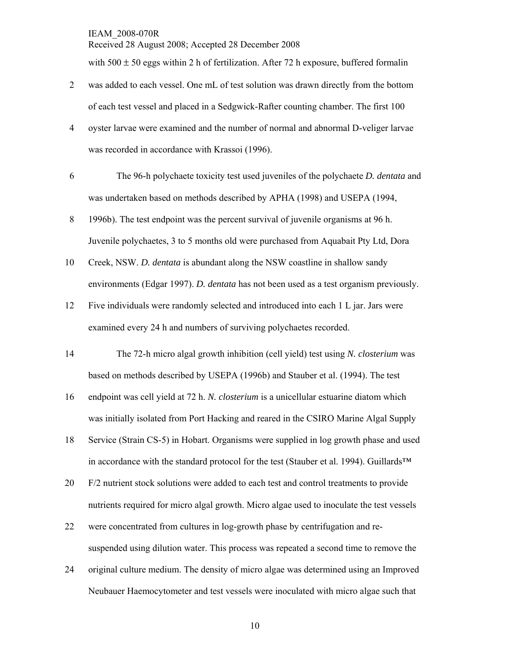Received 28 August 2008; Accepted 28 December 2008

with  $500 \pm 50$  eggs within 2 h of fertilization. After 72 h exposure, buffered formalin

- 2 was added to each vessel. One mL of test solution was drawn directly from the bottom of each test vessel and placed in a Sedgwick-Rafter counting chamber. The first 100
- 4 oyster larvae were examined and the number of normal and abnormal D-veliger larvae was recorded in accordance with Krassoi (1996).
- 6 The 96-h polychaete toxicity test used juveniles of the polychaete *D. dentata* and was undertaken based on methods described by APHA (1998) and USEPA (1994,
- 8 1996b). The test endpoint was the percent survival of juvenile organisms at 96 h. Juvenile polychaetes, 3 to 5 months old were purchased from Aquabait Pty Ltd, Dora
- 10 Creek, NSW. *D. dentata* is abundant along the NSW coastline in shallow sandy environments (Edgar 1997). *D. dentata* has not been used as a test organism previously.
- 12 Five individuals were randomly selected and introduced into each 1 L jar. Jars were examined every 24 h and numbers of surviving polychaetes recorded.
- 14 The 72-h micro algal growth inhibition (cell yield) test using *N. closterium* was based on methods described by USEPA (1996b) and Stauber et al. (1994). The test
- 16 endpoint was cell yield at 72 h. *N. closterium* is a unicellular estuarine diatom which was initially isolated from Port Hacking and reared in the CSIRO Marine Algal Supply
- 18 Service (Strain CS-5) in Hobart. Organisms were supplied in log growth phase and used in accordance with the standard protocol for the test (Stauber et al. 1994). Guillards™
- 20 F/2 nutrient stock solutions were added to each test and control treatments to provide nutrients required for micro algal growth. Micro algae used to inoculate the test vessels
- 22 were concentrated from cultures in log-growth phase by centrifugation and resuspended using dilution water. This process was repeated a second time to remove the
- 24 original culture medium. The density of micro algae was determined using an Improved Neubauer Haemocytometer and test vessels were inoculated with micro algae such that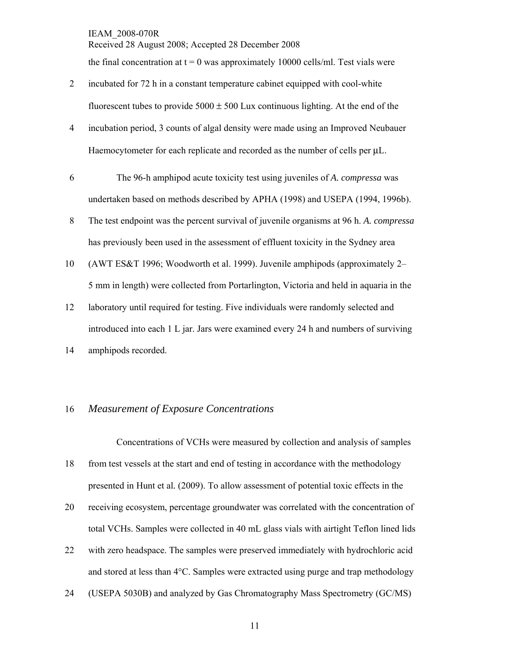Received 28 August 2008; Accepted 28 December 2008 the final concentration at  $t = 0$  was approximately 10000 cells/ml. Test vials were

- 2 incubated for 72 h in a constant temperature cabinet equipped with cool-white fluorescent tubes to provide  $5000 \pm 500$  Lux continuous lighting. At the end of the
- 4 incubation period, 3 counts of algal density were made using an Improved Neubauer Haemocytometer for each replicate and recorded as the number of cells per μL.
- 6 The 96-h amphipod acute toxicity test using juveniles of *A. compressa* was undertaken based on methods described by APHA (1998) and USEPA (1994, 1996b).
- 8 The test endpoint was the percent survival of juvenile organisms at 96 h. *A. compressa* has previously been used in the assessment of effluent toxicity in the Sydney area
- 10 (AWT ES&T 1996; Woodworth et al. 1999). Juvenile amphipods (approximately 2– 5 mm in length) were collected from Portarlington, Victoria and held in aquaria in the
- 12 laboratory until required for testing. Five individuals were randomly selected and introduced into each 1 L jar. Jars were examined every 24 h and numbers of surviving 14 amphipods recorded.

16 *Measurement of Exposure Concentrations* 

Concentrations of VCHs were measured by collection and analysis of samples

- 18 from test vessels at the start and end of testing in accordance with the methodology presented in Hunt et al*.* (2009). To allow assessment of potential toxic effects in the
- 20 receiving ecosystem, percentage groundwater was correlated with the concentration of total VCHs. Samples were collected in 40 mL glass vials with airtight Teflon lined lids
- 22 with zero headspace. The samples were preserved immediately with hydrochloric acid and stored at less than 4°C. Samples were extracted using purge and trap methodology
- 24 (USEPA 5030B) and analyzed by Gas Chromatography Mass Spectrometry (GC/MS)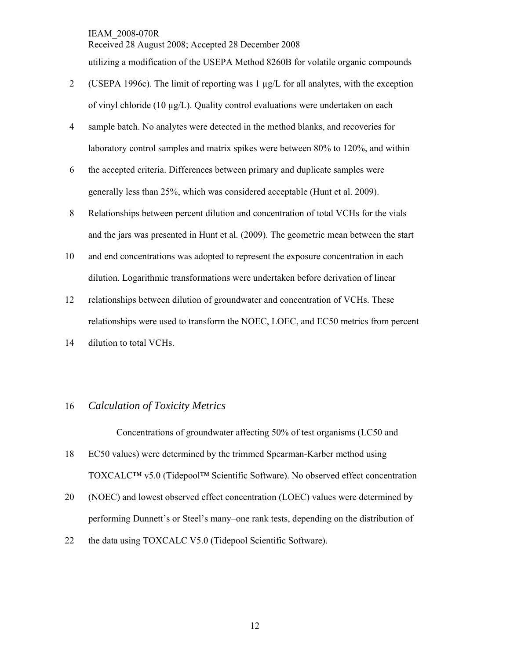Received 28 August 2008; Accepted 28 December 2008 utilizing a modification of the USEPA Method 8260B for volatile organic compounds

- 2 (USEPA 1996c). The limit of reporting was 1  $\mu$ g/L for all analytes, with the exception of vinyl chloride (10 µg/L). Quality control evaluations were undertaken on each
- 4 sample batch. No analytes were detected in the method blanks, and recoveries for laboratory control samples and matrix spikes were between 80% to 120%, and within
- 6 the accepted criteria. Differences between primary and duplicate samples were generally less than 25%, which was considered acceptable (Hunt et al. 2009).
- 8 Relationships between percent dilution and concentration of total VCHs for the vials and the jars was presented in Hunt et al*.* (2009). The geometric mean between the start
- 10 and end concentrations was adopted to represent the exposure concentration in each dilution. Logarithmic transformations were undertaken before derivation of linear
- 12 relationships between dilution of groundwater and concentration of VCHs. These relationships were used to transform the NOEC, LOEC, and EC50 metrics from percent

14 dilution to total VCHs.

#### 16 *Calculation of Toxicity Metrics*

Concentrations of groundwater affecting 50% of test organisms (LC50 and

- 18 EC50 values) were determined by the trimmed Spearman-Karber method using TOXCALC™ v5.0 (Tidepool™ Scientific Software). No observed effect concentration
- 20 (NOEC) and lowest observed effect concentration (LOEC) values were determined by performing Dunnett's or Steel's many–one rank tests, depending on the distribution of
- 22 the data using TOXCALC V5.0 (Tidepool Scientific Software).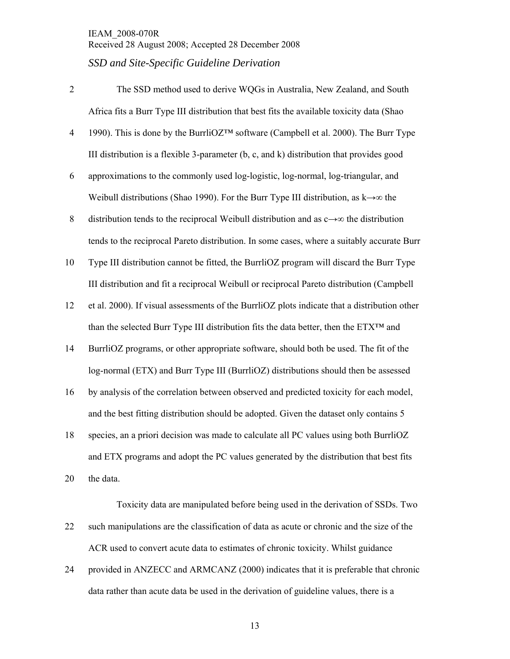- 2 The SSD method used to derive WQGs in Australia, New Zealand, and South Africa fits a Burr Type III distribution that best fits the available toxicity data (Shao
- 4 1990). This is done by the BurrliOZ™ software (Campbell et al. 2000). The Burr Type III distribution is a flexible 3-parameter  $(b, c, and k)$  distribution that provides good
- 6 approximations to the commonly used log-logistic, log-normal, log-triangular, and Weibull distributions (Shao 1990). For the Burr Type III distribution, as  $k \rightarrow \infty$  the
- 8 distribution tends to the reciprocal Weibull distribution and as c→∞ the distribution tends to the reciprocal Pareto distribution. In some cases, where a suitably accurate Burr
- 10 Type III distribution cannot be fitted, the BurrliOZ program will discard the Burr Type III distribution and fit a reciprocal Weibull or reciprocal Pareto distribution (Campbell
- 12 et al. 2000). If visual assessments of the BurrliOZ plots indicate that a distribution other than the selected Burr Type III distribution fits the data better, then the  $ETX^{TM}$  and
- 14 BurrliOZ programs, or other appropriate software, should both be used. The fit of the log-normal (ETX) and Burr Type III (BurrliOZ) distributions should then be assessed
- 16 by analysis of the correlation between observed and predicted toxicity for each model, and the best fitting distribution should be adopted. Given the dataset only contains 5
- 18 species, an a priori decision was made to calculate all PC values using both BurrliOZ and ETX programs and adopt the PC values generated by the distribution that best fits 20 the data.

 Toxicity data are manipulated before being used in the derivation of SSDs. Two 22 such manipulations are the classification of data as acute or chronic and the size of the ACR used to convert acute data to estimates of chronic toxicity. Whilst guidance

24 provided in ANZECC and ARMCANZ (2000) indicates that it is preferable that chronic data rather than acute data be used in the derivation of guideline values, there is a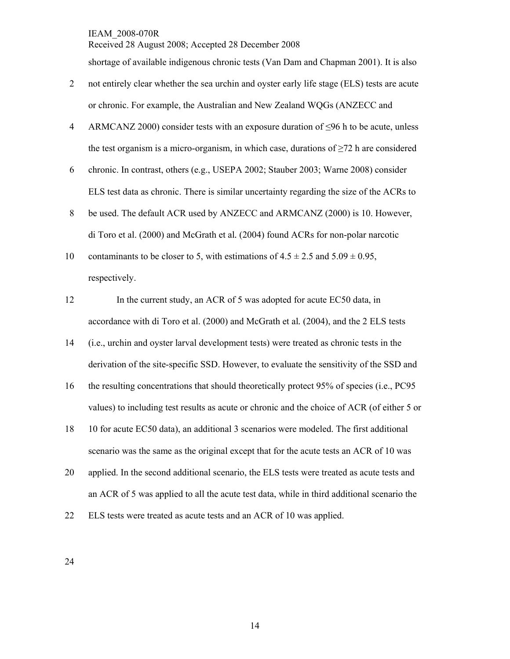Received 28 August 2008; Accepted 28 December 2008

shortage of available indigenous chronic tests (Van Dam and Chapman 2001). It is also

- 2 not entirely clear whether the sea urchin and oyster early life stage (ELS) tests are acute or chronic. For example, the Australian and New Zealand WQGs (ANZECC and
- 4 ARMCANZ 2000) consider tests with an exposure duration of ≤96 h to be acute, unless the test organism is a micro-organism, in which case, durations of  $\geq 72$  h are considered
- 6 chronic. In contrast, others (e.g., USEPA 2002; Stauber 2003; Warne 2008) consider ELS test data as chronic. There is similar uncertainty regarding the size of the ACRs to
- 8 be used. The default ACR used by ANZECC and ARMCANZ (2000) is 10. However, di Toro et al. (2000) and McGrath et al*.* (2004) found ACRs for non-polar narcotic
- 10 contaminants to be closer to 5, with estimations of  $4.5 \pm 2.5$  and  $5.09 \pm 0.95$ , respectively.
- 12 In the current study, an ACR of 5 was adopted for acute EC50 data, in accordance with di Toro et al. (2000) and McGrath et al*.* (2004), and the 2 ELS tests
- 14 (i.e., urchin and oyster larval development tests) were treated as chronic tests in the derivation of the site-specific SSD. However, to evaluate the sensitivity of the SSD and
- 16 the resulting concentrations that should theoretically protect 95% of species (i.e., PC95 values) to including test results as acute or chronic and the choice of ACR (of either 5 or
- 18 10 for acute EC50 data), an additional 3 scenarios were modeled. The first additional scenario was the same as the original except that for the acute tests an ACR of 10 was
- 20 applied. In the second additional scenario, the ELS tests were treated as acute tests and an ACR of 5 was applied to all the acute test data, while in third additional scenario the
- 22 ELS tests were treated as acute tests and an ACR of 10 was applied.

24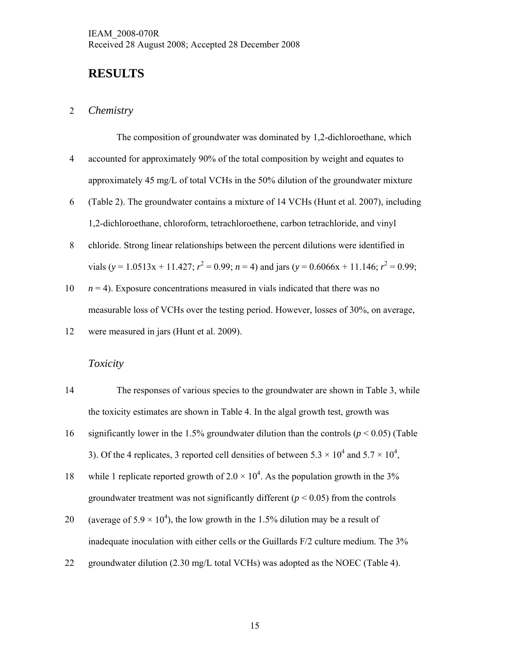### **RESULTS**

#### 2 *Chemistry*

The composition of groundwater was dominated by 1,2-dichloroethane, which

- 4 accounted for approximately 90% of the total composition by weight and equates to approximately 45 mg/L of total VCHs in the 50% dilution of the groundwater mixture
- 6 (Table 2). The groundwater contains a mixture of 14 VCHs (Hunt et al. 2007), including 1,2-dichloroethane, chloroform, tetrachloroethene, carbon tetrachloride, and vinyl
- 8 chloride. Strong linear relationships between the percent dilutions were identified in vials (*y* = 1.0513x + 11.427;  $r^2$  = 0.99; *n* = 4) and jars (*y* = 0.6066x + 11.146;  $r^2$  = 0.99;
- 10  $n = 4$ ). Exposure concentrations measured in vials indicated that there was no measurable loss of VCHs over the testing period. However, losses of 30%, on average,
- 12 were measured in jars (Hunt et al. 2009).

#### *Toxicity*

| 14 | The responses of various species to the groundwater are shown in Table 3, while                         |
|----|---------------------------------------------------------------------------------------------------------|
|    | the toxicity estimates are shown in Table 4. In the algal growth test, growth was                       |
| 16 | significantly lower in the 1.5% groundwater dilution than the controls ( $p < 0.05$ ) (Table            |
|    | 3). Of the 4 replicates, 3 reported cell densities of between $5.3 \times 10^4$ and $5.7 \times 10^4$ , |
| 18 | while 1 replicate reported growth of $2.0 \times 10^4$ . As the population growth in the 3%             |
|    | groundwater treatment was not significantly different ( $p < 0.05$ ) from the controls                  |
| 20 | (average of $5.9 \times 10^4$ ), the low growth in the 1.5% dilution may be a result of                 |
|    | inadequate inoculation with either cells or the Guillards $F/2$ culture medium. The 3%                  |

22 groundwater dilution (2.30 mg/L total VCHs) was adopted as the NOEC (Table 4).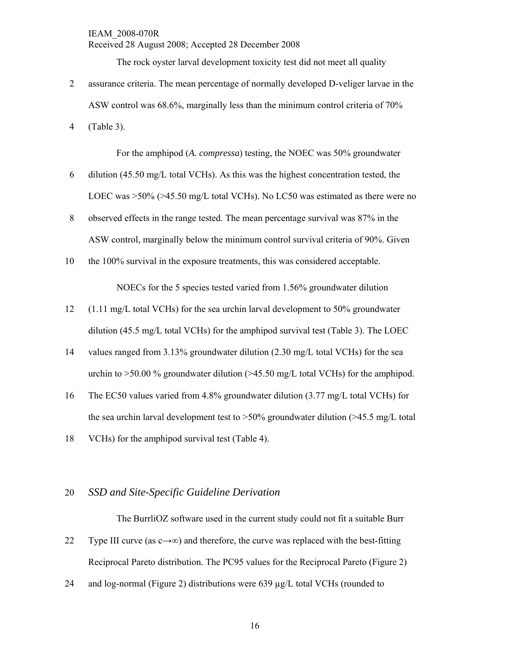The rock oyster larval development toxicity test did not meet all quality

2 assurance criteria. The mean percentage of normally developed D-veliger larvae in the ASW control was 68.6%, marginally less than the minimum control criteria of 70%

4 (Table 3).

For the amphipod (*A. compressa*) testing, the NOEC was 50% groundwater

- 6 dilution (45.50 mg/L total VCHs). As this was the highest concentration tested, the LOEC was >50% (>45.50 mg/L total VCHs). No LC50 was estimated as there were no
- 8 observed effects in the range tested. The mean percentage survival was 87% in the ASW control, marginally below the minimum control survival criteria of 90%. Given
- 10 the 100% survival in the exposure treatments, this was considered acceptable.

NOECs for the 5 species tested varied from 1.56% groundwater dilution

- 12 (1.11 mg/L total VCHs) for the sea urchin larval development to 50% groundwater dilution (45.5 mg/L total VCHs) for the amphipod survival test (Table 3). The LOEC
- 14 values ranged from 3.13% groundwater dilution (2.30 mg/L total VCHs) for the sea urchin to  $>50.00\%$  groundwater dilution ( $>45.50$  mg/L total VCHs) for the amphipod.
- 16 The EC50 values varied from 4.8% groundwater dilution (3.77 mg/L total VCHs) for the sea urchin larval development test to  $>50\%$  groundwater dilution ( $>45.5$  mg/L total
- 18 VCHs) for the amphipod survival test (Table 4).

#### 20 *SSD and Site-Specific Guideline Derivation*

The BurrliOZ software used in the current study could not fit a suitable Burr 22 Type III curve (as  $c \rightarrow \infty$ ) and therefore, the curve was replaced with the best-fitting Reciprocal Pareto distribution. The PC95 values for the Reciprocal Pareto (Figure 2)

24 and log-normal (Figure 2) distributions were 639 µg/L total VCHs (rounded to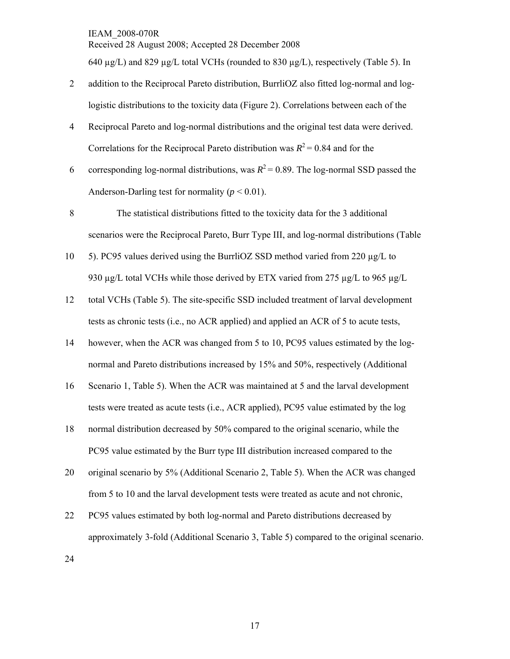Received 28 August 2008; Accepted 28 December 2008

640  $\mu$ g/L) and 829  $\mu$ g/L total VCHs (rounded to 830  $\mu$ g/L), respectively (Table 5). In

- 2 addition to the Reciprocal Pareto distribution, BurrliOZ also fitted log-normal and loglogistic distributions to the toxicity data (Figure 2). Correlations between each of the
- 4 Reciprocal Pareto and log-normal distributions and the original test data were derived. Correlations for the Reciprocal Pareto distribution was  $R^2 = 0.84$  and for the
- 6 corresponding log-normal distributions, was  $R^2 = 0.89$ . The log-normal SSD passed the Anderson-Darling test for normality ( $p < 0.01$ ).
- 8 The statistical distributions fitted to the toxicity data for the 3 additional scenarios were the Reciprocal Pareto, Burr Type III, and log-normal distributions (Table
- 10 5). PC95 values derived using the BurrliOZ SSD method varied from 220 µg/L to 930  $\mu$ g/L total VCHs while those derived by ETX varied from 275  $\mu$ g/L to 965  $\mu$ g/L
- 12 total VCHs (Table 5). The site-specific SSD included treatment of larval development tests as chronic tests (i.e., no ACR applied) and applied an ACR of 5 to acute tests,
- 14 however, when the ACR was changed from 5 to 10, PC95 values estimated by the lognormal and Pareto distributions increased by 15% and 50%, respectively (Additional
- 16 Scenario 1, Table 5). When the ACR was maintained at 5 and the larval development tests were treated as acute tests (i.e., ACR applied), PC95 value estimated by the log
- 18 normal distribution decreased by 50% compared to the original scenario, while the PC95 value estimated by the Burr type III distribution increased compared to the
- 20 original scenario by 5% (Additional Scenario 2, Table 5). When the ACR was changed from 5 to 10 and the larval development tests were treated as acute and not chronic,
- 22 PC95 values estimated by both log-normal and Pareto distributions decreased by approximately 3-fold (Additional Scenario 3, Table 5) compared to the original scenario.
- 24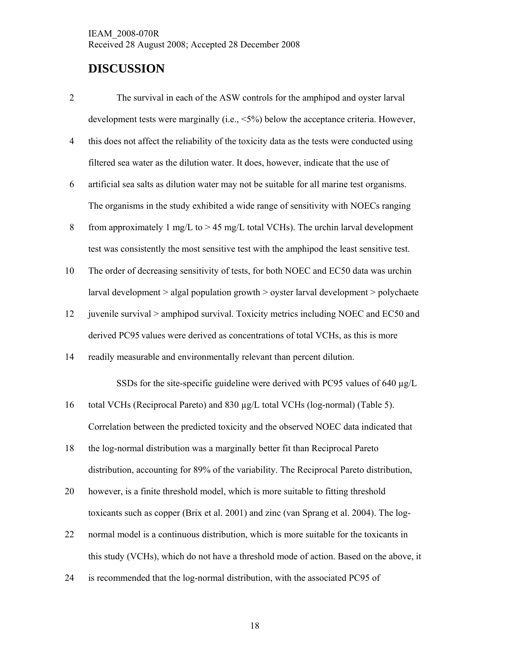### **DISCUSSION**

- 2 The survival in each of the ASW controls for the amphipod and oyster larval development tests were marginally (i.e., <5%) below the acceptance criteria. However,
- 4 this does not affect the reliability of the toxicity data as the tests were conducted using filtered sea water as the dilution water. It does, however, indicate that the use of
- 6 artificial sea salts as dilution water may not be suitable for all marine test organisms. The organisms in the study exhibited a wide range of sensitivity with NOECs ranging
- 8 from approximately 1 mg/L to > 45 mg/L total VCHs). The urchin larval development test was consistently the most sensitive test with the amphipod the least sensitive test.
- 10 The order of decreasing sensitivity of tests, for both NOEC and EC50 data was urchin larval development > algal population growth > oyster larval development > polychaete
- 12 juvenile survival > amphipod survival. Toxicity metrics including NOEC and EC50 and derived PC95 values were derived as concentrations of total VCHs, as this is more
- 14 readily measurable and environmentally relevant than percent dilution.

SSDs for the site-specific guideline were derived with PC95 values of 640  $\mu$ g/L

16 total VCHs (Reciprocal Pareto) and 830 µg/L total VCHs (log-normal) (Table 5).

Correlation between the predicted toxicity and the observed NOEC data indicated that

- 18 the log-normal distribution was a marginally better fit than Reciprocal Pareto distribution, accounting for 89% of the variability. The Reciprocal Pareto distribution,
- 20 however, is a finite threshold model, which is more suitable to fitting threshold toxicants such as copper (Brix et al. 2001) and zinc (van Sprang et al. 2004). The log-
- 22 normal model is a continuous distribution, which is more suitable for the toxicants in this study (VCHs), which do not have a threshold mode of action. Based on the above, it
- 24 is recommended that the log-normal distribution, with the associated PC95 of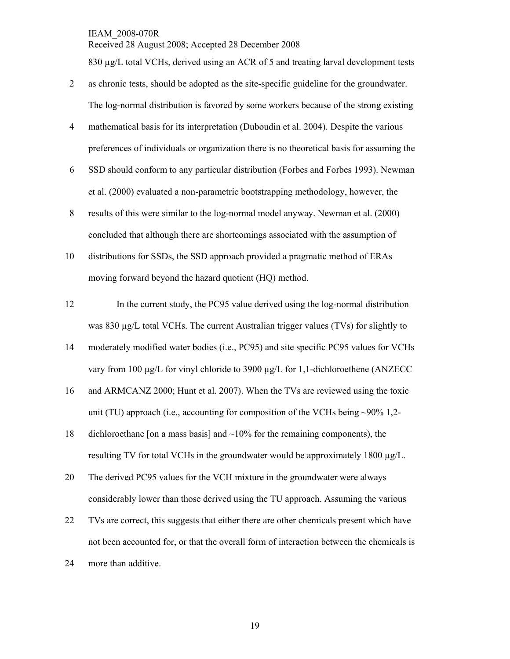Received 28 August 2008; Accepted 28 December 2008

830 µg/L total VCHs, derived using an ACR of 5 and treating larval development tests

- 2 as chronic tests, should be adopted as the site-specific guideline for the groundwater. The log-normal distribution is favored by some workers because of the strong existing
- 4 mathematical basis for its interpretation (Duboudin et al. 2004). Despite the various preferences of individuals or organization there is no theoretical basis for assuming the
- 6 SSD should conform to any particular distribution (Forbes and Forbes 1993). Newman et al. (2000) evaluated a non-parametric bootstrapping methodology, however, the
- 8 results of this were similar to the log-normal model anyway. Newman et al. (2000) concluded that although there are shortcomings associated with the assumption of
- 10 distributions for SSDs, the SSD approach provided a pragmatic method of ERAs moving forward beyond the hazard quotient (HQ) method.
- 12 In the current study, the PC95 value derived using the log-normal distribution was 830 ug/L total VCHs. The current Australian trigger values (TVs) for slightly to
- 14 moderately modified water bodies (i.e., PC95) and site specific PC95 values for VCHs vary from 100  $\mu$ g/L for vinyl chloride to 3900  $\mu$ g/L for 1,1-dichloroethene (ANZECC
- 16 and ARMCANZ 2000; Hunt et al*.* 2007). When the TVs are reviewed using the toxic unit (TU) approach (i.e., accounting for composition of the VCHs being  $\sim$ 90% 1,2-
- 18 dichloroethane [on a mass basis] and  $\sim$ 10% for the remaining components), the resulting TV for total VCHs in the groundwater would be approximately 1800 µg/L.
- 20 The derived PC95 values for the VCH mixture in the groundwater were always considerably lower than those derived using the TU approach. Assuming the various
- 22 TVs are correct, this suggests that either there are other chemicals present which have not been accounted for, or that the overall form of interaction between the chemicals is
- 24 more than additive.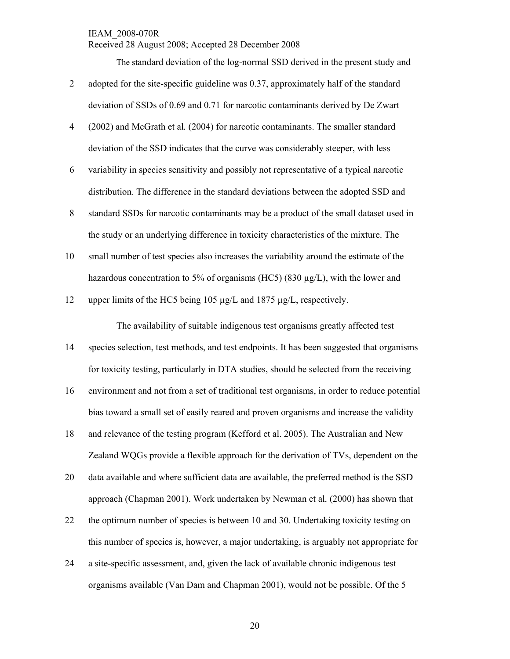Received 28 August 2008; Accepted 28 December 2008

The standard deviation of the log-normal SSD derived in the present study and

- 2 adopted for the site-specific guideline was 0.37, approximately half of the standard deviation of SSDs of 0.69 and 0.71 for narcotic contaminants derived by De Zwart
- 4 (2002) and McGrath et al*.* (2004) for narcotic contaminants. The smaller standard deviation of the SSD indicates that the curve was considerably steeper, with less
- 6 variability in species sensitivity and possibly not representative of a typical narcotic distribution. The difference in the standard deviations between the adopted SSD and
- 8 standard SSDs for narcotic contaminants may be a product of the small dataset used in the study or an underlying difference in toxicity characteristics of the mixture. The
- 10 small number of test species also increases the variability around the estimate of the hazardous concentration to 5% of organisms (HC5) (830  $\mu$ g/L), with the lower and
- 12 upper limits of the HC5 being 105  $\mu$ g/L and 1875  $\mu$ g/L, respectively.

The availability of suitable indigenous test organisms greatly affected test

- 14 species selection, test methods, and test endpoints. It has been suggested that organisms for toxicity testing, particularly in DTA studies, should be selected from the receiving
- 16 environment and not from a set of traditional test organisms, in order to reduce potential bias toward a small set of easily reared and proven organisms and increase the validity
- 18 and relevance of the testing program (Kefford et al. 2005). The Australian and New Zealand WQGs provide a flexible approach for the derivation of TVs, dependent on the
- 20 data available and where sufficient data are available, the preferred method is the SSD approach (Chapman 2001). Work undertaken by Newman et al*.* (2000) has shown that
- 22 the optimum number of species is between 10 and 30. Undertaking toxicity testing on this number of species is, however, a major undertaking, is arguably not appropriate for
- 24 a site-specific assessment, and, given the lack of available chronic indigenous test organisms available (Van Dam and Chapman 2001), would not be possible. Of the 5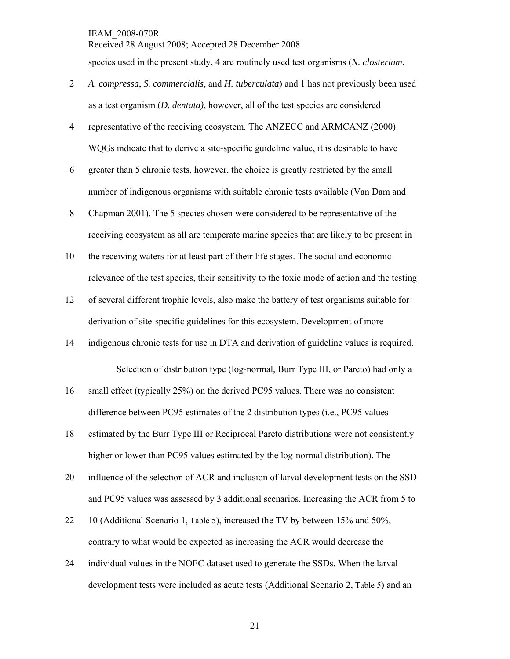Received 28 August 2008; Accepted 28 December 2008 species used in the present study, 4 are routinely used test organisms (*N. closterium*,

- 2 *A. compressa*, *S. commercialis*, and *H. tuberculata*) and 1 has not previously been used as a test organism (*D. dentata)*, however, all of the test species are considered
- 4 representative of the receiving ecosystem. The ANZECC and ARMCANZ (2000) WQGs indicate that to derive a site-specific guideline value, it is desirable to have
- 6 greater than 5 chronic tests, however, the choice is greatly restricted by the small number of indigenous organisms with suitable chronic tests available (Van Dam and
- 8 Chapman 2001). The 5 species chosen were considered to be representative of the receiving ecosystem as all are temperate marine species that are likely to be present in
- 10 the receiving waters for at least part of their life stages. The social and economic relevance of the test species, their sensitivity to the toxic mode of action and the testing
- 12 of several different trophic levels, also make the battery of test organisms suitable for derivation of site-specific guidelines for this ecosystem. Development of more
- 14 indigenous chronic tests for use in DTA and derivation of guideline values is required.

Selection of distribution type (log-normal, Burr Type III, or Pareto) had only a

- 16 small effect (typically 25%) on the derived PC95 values. There was no consistent difference between PC95 estimates of the 2 distribution types (i.e., PC95 values
- 18 estimated by the Burr Type III or Reciprocal Pareto distributions were not consistently higher or lower than PC95 values estimated by the log-normal distribution). The
- 20 influence of the selection of ACR and inclusion of larval development tests on the SSD and PC95 values was assessed by 3 additional scenarios. Increasing the ACR from 5 to
- 22 10 (Additional Scenario 1, Table 5), increased the TV by between 15% and 50%, contrary to what would be expected as increasing the ACR would decrease the
- 24 individual values in the NOEC dataset used to generate the SSDs. When the larval development tests were included as acute tests (Additional Scenario 2, Table 5) and an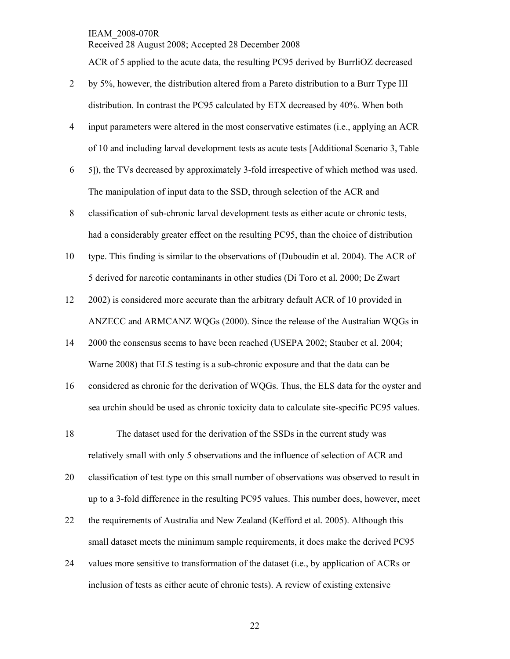Received 28 August 2008; Accepted 28 December 2008

ACR of 5 applied to the acute data, the resulting PC95 derived by BurrliOZ decreased

- 2 by 5%, however, the distribution altered from a Pareto distribution to a Burr Type III distribution. In contrast the PC95 calculated by ETX decreased by 40%. When both
- 4 input parameters were altered in the most conservative estimates (i.e., applying an ACR of 10 and including larval development tests as acute tests [Additional Scenario 3, Table
- 6 5]), the TVs decreased by approximately 3-fold irrespective of which method was used. The manipulation of input data to the SSD, through selection of the ACR and
- 8 classification of sub-chronic larval development tests as either acute or chronic tests, had a considerably greater effect on the resulting PC95, than the choice of distribution
- 10 type. This finding is similar to the observations of (Duboudin et al*.* 2004). The ACR of 5 derived for narcotic contaminants in other studies (Di Toro et al*.* 2000; De Zwart
- 12 2002) is considered more accurate than the arbitrary default ACR of 10 provided in ANZECC and ARMCANZ WQGs (2000). Since the release of the Australian WQGs in
- 14 2000 the consensus seems to have been reached (USEPA 2002; Stauber et al. 2004; Warne 2008) that ELS testing is a sub-chronic exposure and that the data can be
- 16 considered as chronic for the derivation of WQGs. Thus, the ELS data for the oyster and sea urchin should be used as chronic toxicity data to calculate site-specific PC95 values.
- 18 The dataset used for the derivation of the SSDs in the current study was relatively small with only 5 observations and the influence of selection of ACR and
- 20 classification of test type on this small number of observations was observed to result in up to a 3-fold difference in the resulting PC95 values. This number does, however, meet
- 22 the requirements of Australia and New Zealand (Kefford et al*.* 2005). Although this small dataset meets the minimum sample requirements, it does make the derived PC95
- 24 values more sensitive to transformation of the dataset (i.e., by application of ACRs or inclusion of tests as either acute of chronic tests). A review of existing extensive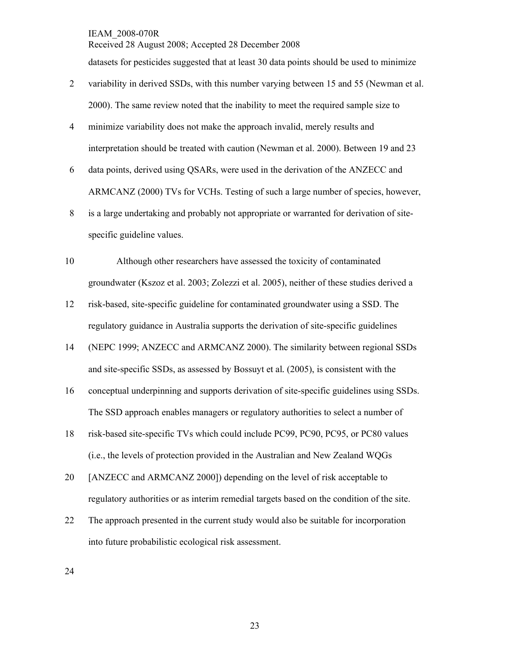datasets for pesticides suggested that at least 30 data points should be used to minimize

Received 28 August 2008; Accepted 28 December 2008

- 2 variability in derived SSDs, with this number varying between 15 and 55 (Newman et al. 2000). The same review noted that the inability to meet the required sample size to
- 4 minimize variability does not make the approach invalid, merely results and interpretation should be treated with caution (Newman et al. 2000). Between 19 and 23
- 6 data points, derived using QSARs, were used in the derivation of the ANZECC and ARMCANZ (2000) TVs for VCHs. Testing of such a large number of species, however,
- 8 is a large undertaking and probably not appropriate or warranted for derivation of sitespecific guideline values.
- 10 Although other researchers have assessed the toxicity of contaminated groundwater (Kszoz et al. 2003; Zolezzi et al. 2005), neither of these studies derived a
- 12 risk-based, site-specific guideline for contaminated groundwater using a SSD. The regulatory guidance in Australia supports the derivation of site-specific guidelines
- 14 (NEPC 1999; ANZECC and ARMCANZ 2000). The similarity between regional SSDs and site-specific SSDs, as assessed by Bossuyt et al*.* (2005), is consistent with the
- 16 conceptual underpinning and supports derivation of site-specific guidelines using SSDs. The SSD approach enables managers or regulatory authorities to select a number of
- 18 risk-based site-specific TVs which could include PC99, PC90, PC95, or PC80 values (i.e., the levels of protection provided in the Australian and New Zealand WQGs
- 20 [ANZECC and ARMCANZ 2000]) depending on the level of risk acceptable to regulatory authorities or as interim remedial targets based on the condition of the site.
- 22 The approach presented in the current study would also be suitable for incorporation into future probabilistic ecological risk assessment.

24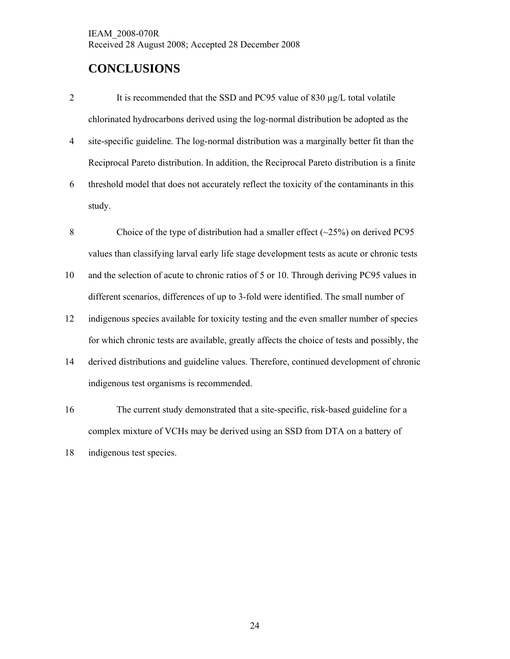### **CONCLUSIONS**

- 2 It is recommended that the SSD and PC95 value of 830 µg/L total volatile chlorinated hydrocarbons derived using the log-normal distribution be adopted as the
- 4 site-specific guideline. The log-normal distribution was a marginally better fit than the Reciprocal Pareto distribution. In addition, the Reciprocal Pareto distribution is a finite
- 6 threshold model that does not accurately reflect the toxicity of the contaminants in this study.
- 8 Choice of the type of distribution had a smaller effect (~25%) on derived PC95 values than classifying larval early life stage development tests as acute or chronic tests
- 10 and the selection of acute to chronic ratios of 5 or 10. Through deriving PC95 values in different scenarios, differences of up to 3-fold were identified. The small number of
- 12 indigenous species available for toxicity testing and the even smaller number of species for which chronic tests are available, greatly affects the choice of tests and possibly, the
- 14 derived distributions and guideline values. Therefore, continued development of chronic indigenous test organisms is recommended.
- 16 The current study demonstrated that a site-specific, risk-based guideline for a complex mixture of VCHs may be derived using an SSD from DTA on a battery of

<sup>18</sup> indigenous test species.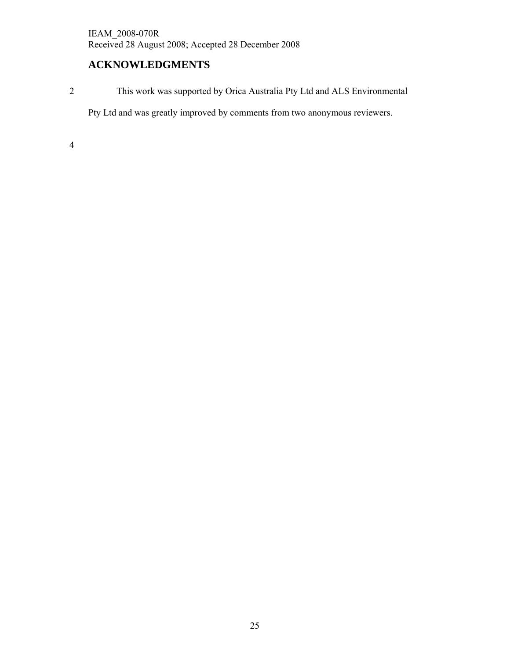### **ACKNOWLEDGMENTS**

2 This work was supported by Orica Australia Pty Ltd and ALS Environmental

Pty Ltd and was greatly improved by comments from two anonymous reviewers.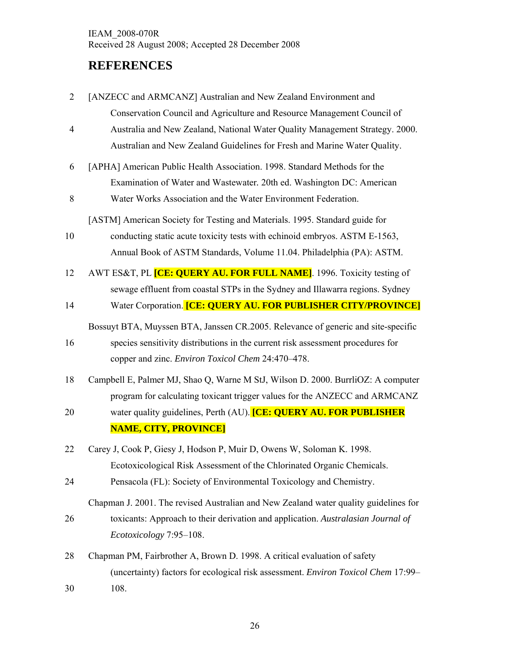### **REFERENCES**

| $\overline{2}$ | [ANZECC and ARMCANZ] Australian and New Zealand Environment and                      |
|----------------|--------------------------------------------------------------------------------------|
|                | Conservation Council and Agriculture and Resource Management Council of              |
| 4              | Australia and New Zealand, National Water Quality Management Strategy. 2000.         |
|                | Australian and New Zealand Guidelines for Fresh and Marine Water Quality.            |
| 6              | [APHA] American Public Health Association. 1998. Standard Methods for the            |
|                | Examination of Water and Wastewater. 20th ed. Washington DC: American                |
| 8              | Water Works Association and the Water Environment Federation.                        |
|                | [ASTM] American Society for Testing and Materials. 1995. Standard guide for          |
| 10             | conducting static acute toxicity tests with echinoid embryos. ASTM E-1563,           |
|                | Annual Book of ASTM Standards, Volume 11.04. Philadelphia (PA): ASTM.                |
| 12             | AWT ES&T, PL <b>[CE: QUERY AU. FOR FULL NAME]</b> . 1996. Toxicity testing of        |
|                | sewage effluent from coastal STPs in the Sydney and Illawarra regions. Sydney        |
| 14             | Water Corporation. [CE: QUERY AU. FOR PUBLISHER CITY/PROVINCE]                       |
|                | Bossuyt BTA, Muyssen BTA, Janssen CR.2005. Relevance of generic and site-specific    |
| 16             | species sensitivity distributions in the current risk assessment procedures for      |
|                | copper and zinc. Environ Toxicol Chem 24:470-478.                                    |
| 18             | Campbell E, Palmer MJ, Shao Q, Warne M StJ, Wilson D. 2000. BurrliOZ: A computer     |
|                | program for calculating toxicant trigger values for the ANZECC and ARMCANZ           |
| 20             | water quality guidelines, Perth (AU). [CE: QUERY AU. FOR PUBLISHER                   |
|                | <b>NAME, CITY, PROVINCE]</b>                                                         |
| 22             | Carey J, Cook P, Giesy J, Hodson P, Muir D, Owens W, Soloman K. 1998.                |
|                | Ecotoxicological Risk Assessment of the Chlorinated Organic Chemicals.               |
| 24             | Pensacola (FL): Society of Environmental Toxicology and Chemistry.                   |
|                | Chapman J. 2001. The revised Australian and New Zealand water quality guidelines for |
| 26             | toxicants: Approach to their derivation and application. Australasian Journal of     |
|                | Ecotoxicology 7:95-108.                                                              |
| 28             | Chapman PM, Fairbrother A, Brown D. 1998. A critical evaluation of safety            |
|                | (uncertainty) factors for ecological risk assessment. Environ Toxicol Chem 17:99-    |
| 30             | 108.                                                                                 |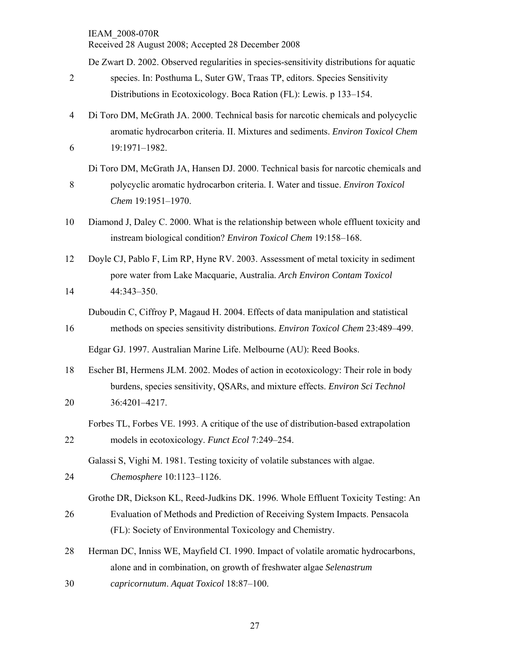|                | Received 28 August 2008; Accepted 28 December 2008                                       |
|----------------|------------------------------------------------------------------------------------------|
|                | De Zwart D. 2002. Observed regularities in species-sensitivity distributions for aquatic |
| $\overline{2}$ | species. In: Posthuma L, Suter GW, Traas TP, editors. Species Sensitivity                |
|                | Distributions in Ecotoxicology. Boca Ration (FL): Lewis. p 133–154.                      |
| $\overline{4}$ | Di Toro DM, McGrath JA. 2000. Technical basis for narcotic chemicals and polycyclic      |
|                | aromatic hydrocarbon criteria. II. Mixtures and sediments. Environ Toxicol Chem          |
| 6              | 19:1971-1982.                                                                            |
|                | Di Toro DM, McGrath JA, Hansen DJ. 2000. Technical basis for narcotic chemicals and      |
| 8              | polycyclic aromatic hydrocarbon criteria. I. Water and tissue. Environ Toxicol           |
|                | Chem 19:1951-1970.                                                                       |
| 10             | Diamond J, Daley C. 2000. What is the relationship between whole effluent toxicity and   |
|                | instream biological condition? Environ Toxicol Chem 19:158-168.                          |
| 12             | Doyle CJ, Pablo F, Lim RP, Hyne RV. 2003. Assessment of metal toxicity in sediment       |
|                | pore water from Lake Macquarie, Australia. Arch Environ Contam Toxicol                   |
| 14             | 44:343-350.                                                                              |
|                | Duboudin C, Ciffroy P, Magaud H. 2004. Effects of data manipulation and statistical      |
| 16             | methods on species sensitivity distributions. Environ Toxicol Chem 23:489-499.           |
|                | Edgar GJ. 1997. Australian Marine Life. Melbourne (AU): Reed Books.                      |
| 18             | Escher BI, Hermens JLM. 2002. Modes of action in ecotoxicology: Their role in body       |
|                | burdens, species sensitivity, QSARs, and mixture effects. Environ Sci Technol            |
| 20             | 36:4201-4217.                                                                            |
|                | Forbes TL, Forbes VE. 1993. A critique of the use of distribution-based extrapolation    |
| 22             | models in ecotoxicology. Funct Ecol 7:249-254.                                           |
|                | Galassi S, Vighi M. 1981. Testing toxicity of volatile substances with algae.            |
| 24             | Chemosphere 10:1123-1126.                                                                |
|                | Grothe DR, Dickson KL, Reed-Judkins DK. 1996. Whole Effluent Toxicity Testing: An        |
| 26             | Evaluation of Methods and Prediction of Receiving System Impacts. Pensacola              |
|                | (FL): Society of Environmental Toxicology and Chemistry.                                 |
| 28             | Herman DC, Inniss WE, Mayfield CI. 1990. Impact of volatile aromatic hydrocarbons,       |
|                | alone and in combination, on growth of freshwater algae Selenastrum                      |
| 30             | capricornutum. Aquat Toxicol 18:87-100.                                                  |
|                |                                                                                          |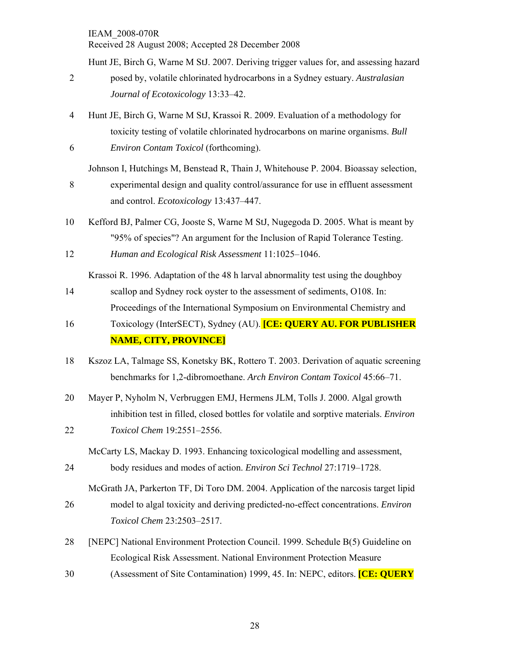Hunt JE, Birch G, Warne M StJ. 2007. Deriving trigger values for, and assessing hazard

- 2 posed by, volatile chlorinated hydrocarbons in a Sydney estuary. *Australasian Journal of Ecotoxicology* 13:33–42.
- 4 Hunt JE, Birch G, Warne M StJ, Krassoi R. 2009. Evaluation of a methodology for toxicity testing of volatile chlorinated hydrocarbons on marine organisms. *Bull*  6 *Environ Contam Toxicol* (forthcoming).

Johnson I, Hutchings M, Benstead R, Thain J, Whitehouse P. 2004. Bioassay selection,

- 8 experimental design and quality control/assurance for use in effluent assessment and control. *Ecotoxicology* 13:437–447.
- 10 Kefford BJ, Palmer CG, Jooste S, Warne M StJ, Nugegoda D. 2005. What is meant by "95% of species"? An argument for the Inclusion of Rapid Tolerance Testing. 12 *Human and Ecological Risk Assessment* 11:1025–1046.

Krassoi R. 1996. Adaptation of the 48 h larval abnormality test using the doughboy

- 14 scallop and Sydney rock oyster to the assessment of sediments, O108. In:
- Proceedings of the International Symposium on Environmental Chemistry and 16 Toxicology (InterSECT), Sydney (AU). **[CE: QUERY AU. FOR PUBLISHER**

#### **NAME, CITY, PROVINCE]**

- 18 Kszoz LA, Talmage SS, Konetsky BK, Rottero T. 2003. Derivation of aquatic screening benchmarks for 1,2-dibromoethane. *Arch Environ Contam Toxicol* 45:66–71.
- 20 Mayer P, Nyholm N, Verbruggen EMJ, Hermens JLM, Tolls J. 2000. Algal growth inhibition test in filled, closed bottles for volatile and sorptive materials. *Environ*  22 *Toxicol Chem* 19:2551–2556.
	- McCarty LS, Mackay D. 1993. Enhancing toxicological modelling and assessment,
- 24 body residues and modes of action. *Environ Sci Technol* 27:1719–1728.

McGrath JA, Parkerton TF, Di Toro DM. 2004. Application of the narcosis target lipid 26 model to algal toxicity and deriving predicted-no-effect concentrations. *Environ Toxicol Chem* 23:2503–2517.

- 28 [NEPC] National Environment Protection Council. 1999. Schedule B(5) Guideline on Ecological Risk Assessment. National Environment Protection Measure
- 30 (Assessment of Site Contamination) 1999, 45. In: NEPC, editors. **[CE: QUERY**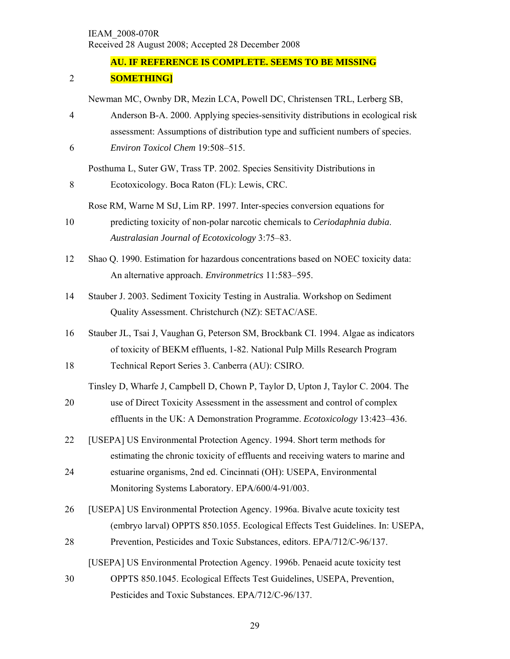#### **AU. IF REFERENCE IS COMPLETE. SEEMS TO BE MISSING**

#### 2 **SOMETHING]**

Newman MC, Ownby DR, Mezin LCA, Powell DC, Christensen TRL, Lerberg SB,

4 Anderson B-A. 2000. Applying species-sensitivity distributions in ecological risk assessment: Assumptions of distribution type and sufficient numbers of species. 6 *Environ Toxicol Chem* 19:508–515.

Posthuma L, Suter GW, Trass TP. 2002. Species Sensitivity Distributions in

- 8 Ecotoxicology. Boca Raton (FL): Lewis, CRC.
	- Rose RM, Warne M StJ, Lim RP. 1997. Inter-species conversion equations for
- 10 predicting toxicity of non-polar narcotic chemicals to *Ceriodaphnia dubia*. *Australasian Journal of Ecotoxicology* 3:75–83.
- 12 Shao Q. 1990. Estimation for hazardous concentrations based on NOEC toxicity data: An alternative approach. *Environmetrics* 11:583–595.
- 14 Stauber J. 2003. Sediment Toxicity Testing in Australia. Workshop on Sediment Quality Assessment. Christchurch (NZ): SETAC/ASE.
- 16 Stauber JL, Tsai J, Vaughan G, Peterson SM, Brockbank CI. 1994. Algae as indicators of toxicity of BEKM effluents, 1-82. National Pulp Mills Research Program 18 Technical Report Series 3. Canberra (AU): CSIRO.
- Tinsley D, Wharfe J, Campbell D, Chown P, Taylor D, Upton J, Taylor C. 2004. The 20 use of Direct Toxicity Assessment in the assessment and control of complex effluents in the UK: A Demonstration Programme. *Ecotoxicology* 13:423–436.
- 22 [USEPA] US Environmental Protection Agency. 1994. Short term methods for estimating the chronic toxicity of effluents and receiving waters to marine and 24 estuarine organisms, 2nd ed. Cincinnati (OH): USEPA, Environmental Monitoring Systems Laboratory. EPA/600/4-91/003.
- 26 [USEPA] US Environmental Protection Agency. 1996a. Bivalve acute toxicity test (embryo larval) OPPTS 850.1055. Ecological Effects Test Guidelines. In: USEPA,
- 28 Prevention, Pesticides and Toxic Substances, editors. EPA/712/C-96/137.

[USEPA] US Environmental Protection Agency. 1996b. Penaeid acute toxicity test

30 OPPTS 850.1045. Ecological Effects Test Guidelines, USEPA, Prevention, Pesticides and Toxic Substances. EPA/712/C-96/137.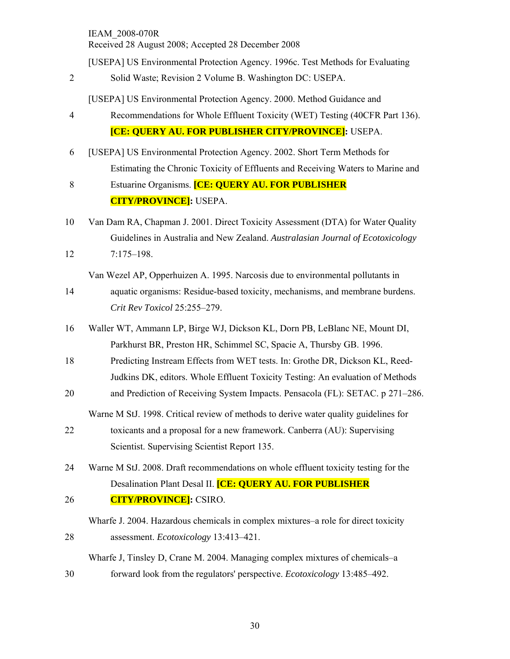[USEPA] US Environmental Protection Agency. 1996c. Test Methods for Evaluating

2 Solid Waste; Revision 2 Volume B. Washington DC: USEPA.

[USEPA] US Environmental Protection Agency. 2000. Method Guidance and

- 4 Recommendations for Whole Effluent Toxicity (WET) Testing (40CFR Part 136). **[CE: QUERY AU. FOR PUBLISHER CITY/PROVINCE]:** USEPA.
- 6 [USEPA] US Environmental Protection Agency. 2002. Short Term Methods for Estimating the Chronic Toxicity of Effluents and Receiving Waters to Marine and
- 8 Estuarine Organisms. **[CE: QUERY AU. FOR PUBLISHER CITY/PROVINCE]:** USEPA.
- 10 Van Dam RA, Chapman J. 2001. Direct Toxicity Assessment (DTA) for Water Quality Guidelines in Australia and New Zealand. *Australasian Journal of Ecotoxicology* 12 7:175–198.

Van Wezel AP, Opperhuizen A. 1995. Narcosis due to environmental pollutants in

- 14 aquatic organisms: Residue-based toxicity, mechanisms, and membrane burdens. *Crit Rev Toxicol* 25:255–279.
- 16 Waller WT, Ammann LP, Birge WJ, Dickson KL, Dorn PB, LeBlanc NE, Mount DI, Parkhurst BR, Preston HR, Schimmel SC, Spacie A, Thursby GB. 1996.
- 18 Predicting Instream Effects from WET tests. In: Grothe DR, Dickson KL, Reed-Judkins DK, editors. Whole Effluent Toxicity Testing: An evaluation of Methods
- 20 and Prediction of Receiving System Impacts. Pensacola (FL): SETAC. p 271–286.

Warne M StJ. 1998. Critical review of methods to derive water quality guidelines for

- 22 toxicants and a proposal for a new framework. Canberra (AU): Supervising Scientist. Supervising Scientist Report 135.
- 24 Warne M StJ. 2008. Draft recommendations on whole effluent toxicity testing for the Desalination Plant Desal II. **[CE: QUERY AU. FOR PUBLISHER**  26 **CITY/PROVINCE]:** CSIRO.
- Wharfe J. 2004. Hazardous chemicals in complex mixtures–a role for direct toxicity
- 28 assessment. *Ecotoxicology* 13:413–421. Wharfe J, Tinsley D, Crane M. 2004. Managing complex mixtures of chemicals–a
- 30 forward look from the regulators' perspective. *Ecotoxicology* 13:485–492.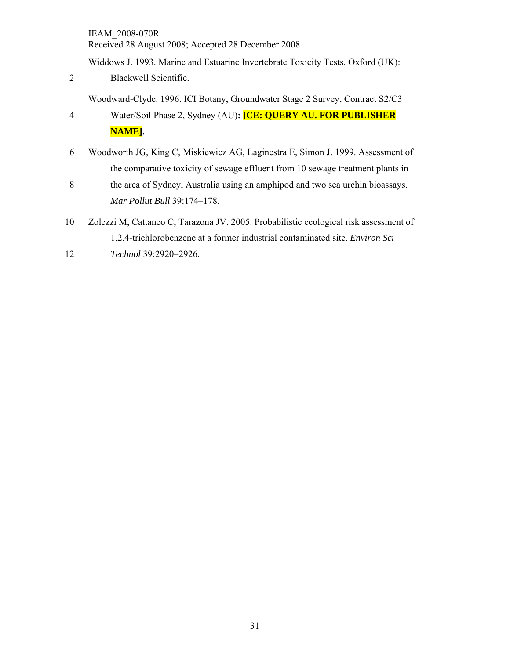Widdows J. 1993. Marine and Estuarine Invertebrate Toxicity Tests. Oxford (UK):

2 Blackwell Scientific.

Woodward-Clyde. 1996. ICI Botany, Groundwater Stage 2 Survey, Contract S2/C3

- 4 Water/Soil Phase 2, Sydney (AU)**: [CE: QUERY AU. FOR PUBLISHER NAME].**
- 6 Woodworth JG, King C, Miskiewicz AG, Laginestra E, Simon J. 1999. Assessment of the comparative toxicity of sewage effluent from 10 sewage treatment plants in
- 8 the area of Sydney, Australia using an amphipod and two sea urchin bioassays. *Mar Pollut Bull* 39:174–178.
- 10 Zolezzi M, Cattaneo C, Tarazona JV. 2005. Probabilistic ecological risk assessment of 1,2,4-trichlorobenzene at a former industrial contaminated site. *Environ Sci*
- 12 *Technol* 39:2920–2926.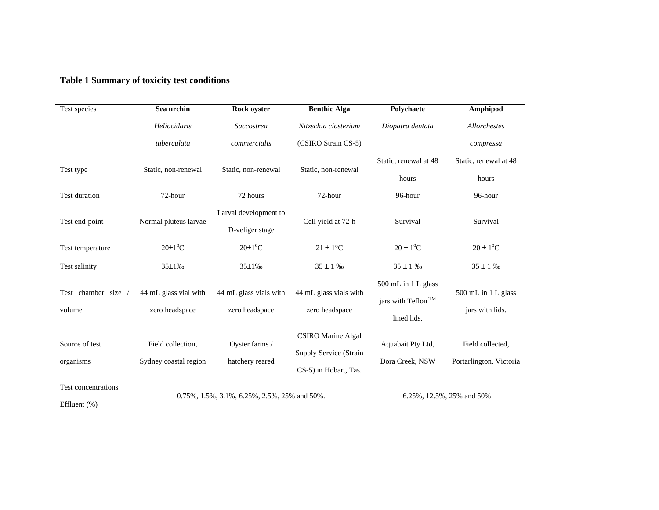### **Table 1 Summary of toxicity test conditions**

| Test species                                                              | Sea urchin                                   | Rock oyster                              | <b>Benthic Alga</b>                                                          | Polychaete                                                           | Amphipod                                    |  |
|---------------------------------------------------------------------------|----------------------------------------------|------------------------------------------|------------------------------------------------------------------------------|----------------------------------------------------------------------|---------------------------------------------|--|
|                                                                           | Heliocidaris                                 | Saccostrea                               | Nitzschia closterium                                                         | Diopatra dentata                                                     | Allorchestes                                |  |
|                                                                           | tuberculata                                  | commercialis                             | (CSIRO Strain CS-5)                                                          |                                                                      | compressa                                   |  |
| Test type                                                                 | Static, non-renewal                          | Static, non-renewal                      | Static, non-renewal                                                          | Static, renewal at 48<br>hours                                       | Static, renewal at 48<br>hours              |  |
| Test duration                                                             | 72-hour                                      | 72 hours                                 | 72-hour                                                                      | 96-hour                                                              | 96-hour                                     |  |
| Test end-point                                                            | Normal pluteus larvae                        | Larval development to<br>D-veliger stage | Cell yield at 72-h                                                           | Survival                                                             | Survival                                    |  |
| Test temperature                                                          | $20 \pm 1$ <sup>o</sup> C                    | $20 \pm 1$ <sup>o</sup> C                | $21 \pm 1$ °C                                                                | $20 \pm 1$ <sup>o</sup> C                                            | $20 \pm 1$ <sup>o</sup> C                   |  |
| Test salinity                                                             | $35 \pm 1\%$                                 | 35±1‰                                    | $35 \pm 1 \%$                                                                | $35 \pm 1 \%$                                                        | $35 \pm 1 \%$                               |  |
| Test chamber size /<br>volume                                             | 44 mL glass vial with<br>zero headspace      | 44 mL glass vials with<br>zero headspace | 44 mL glass vials with<br>zero headspace                                     | 500 mL in 1 L glass<br>jars with Teflon <sup>TM</sup><br>lined lids. | 500 mL in 1 L glass<br>jars with lids.      |  |
| Source of test<br>Field collection,<br>Sydney coastal region<br>organisms |                                              | Oyster farms /<br>hatchery reared        | <b>CSIRO</b> Marine Algal<br>Supply Service (Strain<br>CS-5) in Hobart, Tas. | Aquabait Pty Ltd,<br>Dora Creek, NSW                                 | Field collected,<br>Portarlington, Victoria |  |
| Test concentrations<br>Effluent (%)                                       | 0.75%, 1.5%, 3.1%, 6.25%, 2.5%, 25% and 50%. |                                          |                                                                              | 6.25%, 12.5%, 25% and 50%                                            |                                             |  |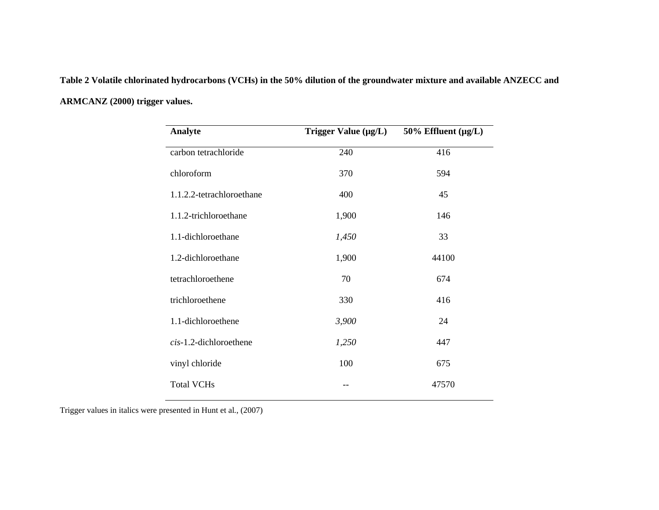**Table 2 Volatile chlorinated hydrocarbons (VCHs) in the 50% dilution of the groundwater mixture and available ANZECC and ARMCANZ (2000) trigger values.** 

| Analyte                   | Trigger Value $(\mu g/L)$ | 50% Effluent $(\mu g/L)$ |
|---------------------------|---------------------------|--------------------------|
| carbon tetrachloride      | 240                       | 416                      |
| chloroform                | 370                       | 594                      |
| 1.1.2.2-tetrachloroethane | 400                       | 45                       |
| 1.1.2-trichloroethane     | 1,900                     | 146                      |
| 1.1-dichloroethane        | 1,450                     | 33                       |
| 1.2-dichloroethane        | 1,900                     | 44100                    |
| tetrachloroethene         | 70                        | 674                      |
| trichloroethene           | 330                       | 416                      |
| 1.1-dichloroethene        | 3,900                     | 24                       |
| cis-1.2-dichloroethene    | 1,250                     | 447                      |
| vinyl chloride            | 100                       | 675                      |
| <b>Total VCHs</b>         |                           | 47570                    |

Trigger values in italics were presented in Hunt et al*.*, (2007)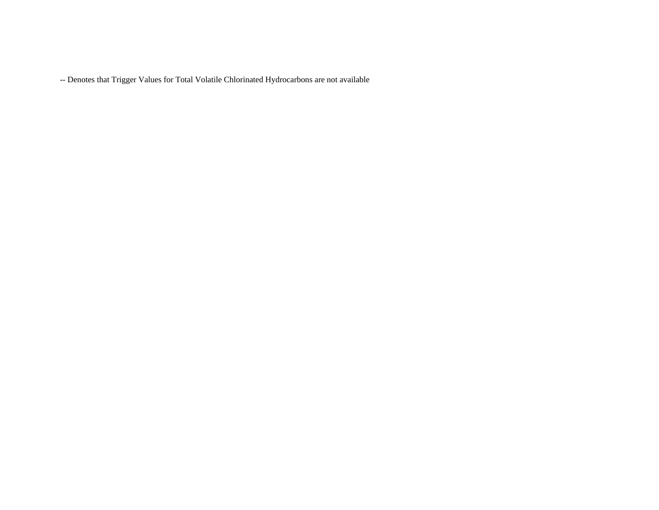-- Denotes that Trigger Values for Total Volatile Chlorinated Hydrocarbons are not available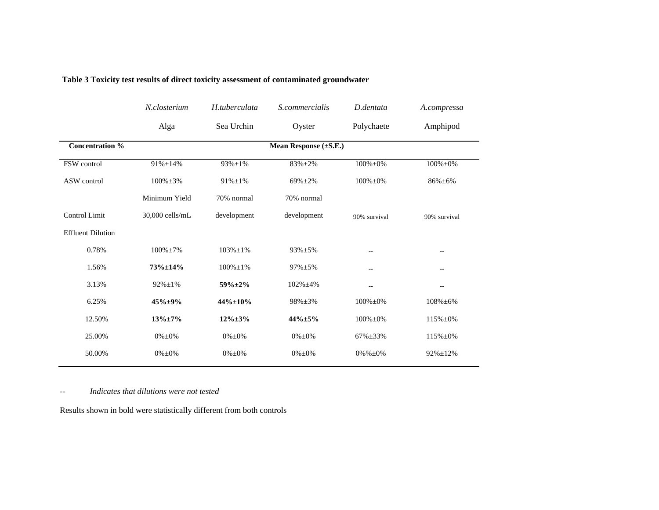| N.closterium    | H.tuberculata   | S.commercialis  | D.dentata       | A.compressa                           |
|-----------------|-----------------|-----------------|-----------------|---------------------------------------|
| Alga            | Sea Urchin      | Oyster          | Polychaete      | Amphipod                              |
|                 |                 |                 |                 |                                       |
| 91%±14%         | $93\% \pm 1\%$  | 83%±2%          | $100\% \pm 0\%$ | $100\% \pm 0\%$                       |
| $100\% \pm 3\%$ | $91\% \pm 1\%$  | $69\% + 2\%$    | $100\% \pm 0\%$ | 86%±6%                                |
| Minimum Yield   | 70% normal      | 70% normal      |                 |                                       |
| 30,000 cells/mL | development     | development     |                 | 90% survival                          |
|                 |                 |                 |                 |                                       |
| $100\% \pm 7\%$ | $103\% \pm 1\%$ | $93\% + 5\%$    | --              | $\overline{\phantom{a}}$              |
| $73\% \pm 14\%$ | $100\% \pm 1\%$ | $97\% \pm 5\%$  | $-1$            | $-1$                                  |
| $92\% \pm 1\%$  | $59\% \pm 2\%$  | $102\% \pm 4\%$ | $-1$            | $\overline{\phantom{a}}$ .            |
| $45\% + 9\%$    | 44%±10%         | 98%±3%          | $100\% \pm 0\%$ | $108\% \pm 6\%$                       |
| $13\% \pm 7\%$  | $12\% \pm 3\%$  | $44\% \pm 5\%$  | $100\% \pm 0\%$ | 115%±0%                               |
| $0\% \pm 0\%$   | $0\% \pm 0\%$   | $0\% \pm 0\%$   | 67%±33%         | 115%±0%                               |
| $0\% \pm 0\%$   | $0\% \pm 0\%$   | $0\% \pm 0\%$   | $0\% \%\pm 0\%$ | $92\% \pm 12\%$                       |
|                 |                 |                 |                 | Mean Response (±S.E.)<br>90% survival |

#### **Table 3 Toxicity test results of direct toxicity assessment of contaminated groundwater**

*-- Indicates that dilutions were not tested* 

Results shown in bold were statistically different from both controls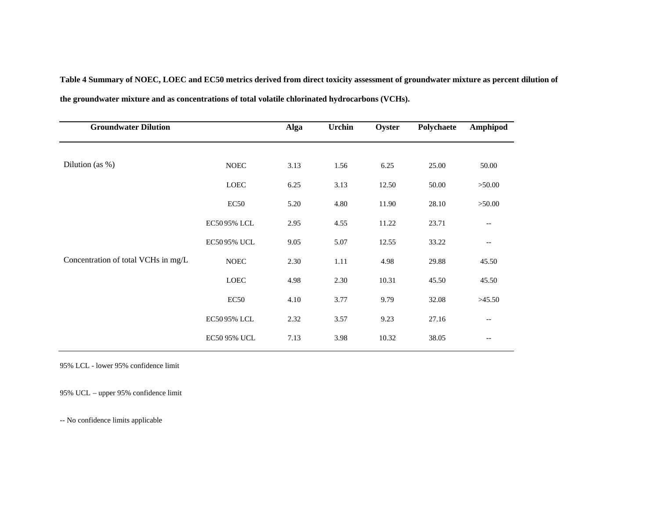**Table 4 Summary of NOEC, LOEC and EC50 metrics derived from direct toxicity assessment of groundwater mixture as percent dilution of the groundwater mixture and as concentrations of total volatile chlorinated hydrocarbons (VCHs).**

| <b>Groundwater Dilution</b>         |                  | Alga | <b>Urchin</b> | Oyster | Polychaete | Amphipod                 |
|-------------------------------------|------------------|------|---------------|--------|------------|--------------------------|
|                                     |                  |      |               |        |            |                          |
| Dilution (as $%$ )                  | $\rm NOEC$       | 3.13 | 1.56          | 6.25   | 25.00      | 50.00                    |
|                                     | LOEC             | 6.25 | 3.13          | 12.50  | 50.00      | >50.00                   |
|                                     | EC <sub>50</sub> | 5.20 | 4.80          | 11.90  | 28.10      | >50.00                   |
|                                     | EC5095% LCL      | 2.95 | 4.55          | 11.22  | 23.71      | $-\,-$                   |
|                                     | EC5095% UCL      | 9.05 | 5.07          | 12.55  | 33.22      | $\overline{\phantom{m}}$ |
| Concentration of total VCHs in mg/L | $\rm NOEC$       | 2.30 | 1.11          | 4.98   | 29.88      | 45.50                    |
|                                     | LOEC             | 4.98 | 2.30          | 10.31  | 45.50      | 45.50                    |
|                                     | EC <sub>50</sub> | 4.10 | 3.77          | 9.79   | 32.08      | >45.50                   |
|                                     | EC5095% LCL      | 2.32 | 3.57          | 9.23   | 27.16      | $\overline{\phantom{m}}$ |
|                                     | EC50 95% UCL     | 7.13 | 3.98          | 10.32  | 38.05      | $\overline{\phantom{m}}$ |

95% LCL - lower 95% confidence limit

95% UCL – upper 95% confidence limit

-- No confidence limits applicable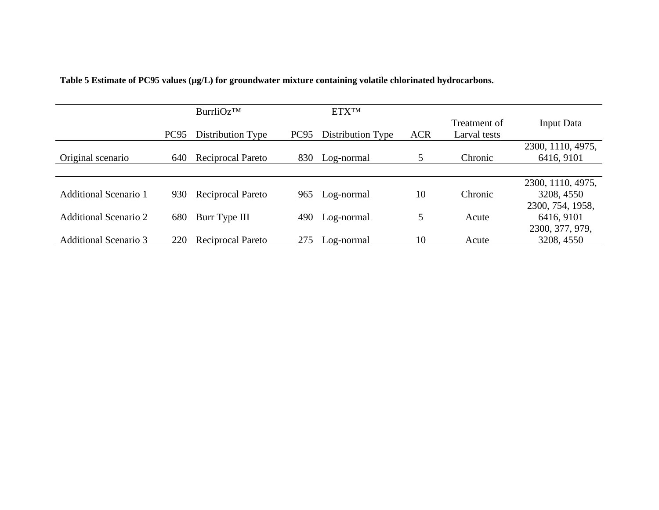|                              |                  | BurrliOz <sup>TM</sup>   |                  | <b>ETXTM</b>      |            |                              |                   |
|------------------------------|------------------|--------------------------|------------------|-------------------|------------|------------------------------|-------------------|
|                              | PC <sub>95</sub> | Distribution Type        | PC <sub>95</sub> | Distribution Type | <b>ACR</b> | Treatment of<br>Larval tests | Input Data        |
|                              |                  |                          |                  |                   |            |                              | 2300, 1110, 4975, |
| Original scenario            | 640              | <b>Reciprocal Pareto</b> | 830              | Log-normal        | 5          | Chronic                      | 6416, 9101        |
|                              |                  |                          |                  |                   |            |                              |                   |
|                              |                  |                          |                  |                   |            |                              | 2300, 1110, 4975, |
| <b>Additional Scenario 1</b> | 930              | Reciprocal Pareto        | 965              | Log-normal        | 10         | Chronic                      | 3208, 4550        |
|                              |                  |                          |                  |                   |            |                              | 2300, 754, 1958,  |
| Additional Scenario 2        | 680              | Burr Type III            | 490              | Log-normal        | 5          | Acute                        | 6416, 9101        |
|                              |                  |                          |                  |                   |            |                              | 2300, 377, 979,   |
| <b>Additional Scenario 3</b> | 220              | <b>Reciprocal Pareto</b> | 275              | Log-normal        | 10         | Acute                        | 3208, 4550        |

Table 5 Estimate of PC95 values (µg/L) for groundwater mixture containing volatile chlorinated hydrocarbons.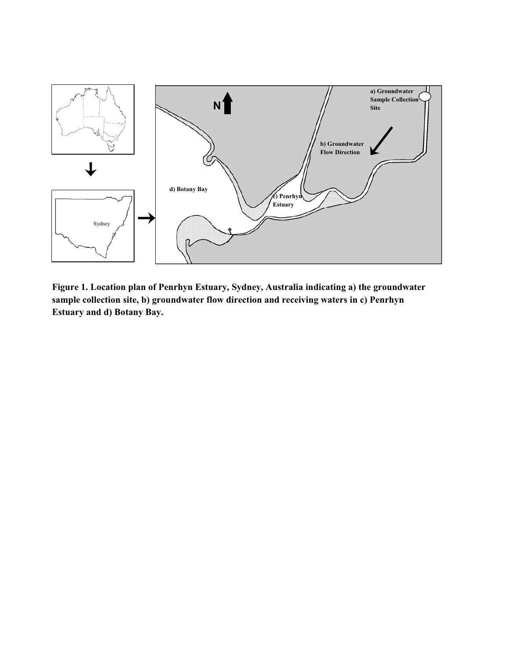

**Figure 1. Location plan of Penrhyn Estuary, Sydney, Australia indicating a) the groundwater sample collection site, b) groundwater flow direction and receiving waters in c) Penrhyn Estuary and d) Botany Bay.**